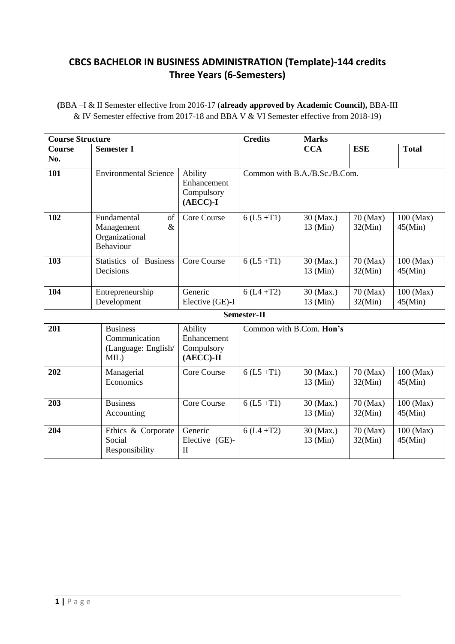# **CBCS BACHELOR IN BUSINESS ADMINISTRATION (Template)-144 credits Three Years (6-Semesters)**

| (BBA –I & II Semester effective from 2016-17 (already approved by Academic Council), BBA-III |  |
|----------------------------------------------------------------------------------------------|--|
| & IV Semester effective from 2017-18 and BBA V & VI Semester effective from 2018-19)         |  |

| <b>Course Structure</b> |                                                                        | <b>Credits</b>                                       | <b>Marks</b> |                                 |                     |                        |
|-------------------------|------------------------------------------------------------------------|------------------------------------------------------|--------------|---------------------------------|---------------------|------------------------|
| <b>Course</b><br>No.    | <b>Semester I</b>                                                      |                                                      |              | <b>CCA</b>                      | <b>ESE</b>          | <b>Total</b>           |
| 101                     | <b>Environmental Science</b>                                           | Ability<br>Enhancement<br>Compulsory<br>$(AECC)$ -I  |              | Common with B.A./B.Sc./B.Com.   |                     |                        |
| 102                     | Fundamental<br>of<br>Management<br>$\&$<br>Organizational<br>Behaviour | Core Course                                          | $6(L5 + T1)$ | 30 (Max.)<br>$13 \text{ (Min)}$ | 70 (Max)<br>32(Min) | $100$ (Max)<br>45(Min) |
| 103                     | Statistics of Business<br>Decisions                                    | <b>Core Course</b>                                   | $6(L5 + T1)$ | 30 (Max.)<br>$13 \text{ (Min)}$ | 70 (Max)<br>32(Min) | $100$ (Max)<br>45(Min) |
| 104                     | Entrepreneurship<br>Development                                        | Generic<br>Elective (GE)-I                           | $6(L4 + T2)$ | 30 (Max.)<br>$13 \text{ (Min)}$ | 70 (Max)<br>32(Min) | $100$ (Max)<br>45(Min) |
|                         |                                                                        |                                                      | Semester-II  |                                 |                     |                        |
| 201                     | <b>Business</b><br>Communication<br>(Language: English/<br>MIL)        | Ability<br>Enhancement<br>Compulsory<br>$(AECC)$ -II |              | Common with B.Com. Hon's        |                     |                        |
| 202                     | Managerial<br>Economics                                                | Core Course                                          | $6(L5 + T1)$ | 30 (Max.)<br>$13 \text{ (Min)}$ | 70 (Max)<br>32(Min) | $100$ (Max)<br>45(Min) |
| 203                     | <b>Business</b><br>Accounting                                          | Core Course                                          | $6(L5 + T1)$ | 30 (Max.)<br>$13 \text{ (Min)}$ | 70 (Max)<br>32(Min) | 100 (Max)<br>45(Min)   |
| 204                     | Ethics & Corporate<br>Social<br>Responsibility                         | Generic<br>Elective (GE)-<br>$\rm II$                | $6(L4 + T2)$ | 30 (Max.)<br>$13 \text{ (Min)}$ | 70 (Max)<br>32(Min) | $100$ (Max)<br>45(Min) |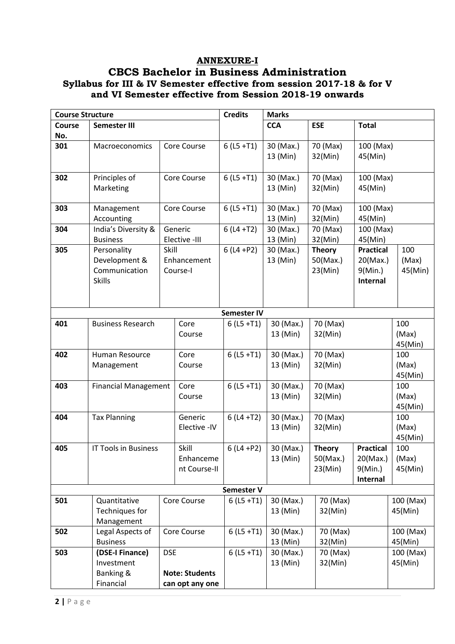# **ANNEXURE-I**

# **CBCS Bachelor in Business Administration Syllabus for III & IV Semester effective from session 2017-18 & for V and VI Semester effective from Session 2018-19 onwards**

| <b>Course Structure</b> |                             | <b>Credits</b> | <b>Marks</b>          |                    |            |               |                  |           |
|-------------------------|-----------------------------|----------------|-----------------------|--------------------|------------|---------------|------------------|-----------|
| Course                  | Semester III                |                |                       |                    | <b>CCA</b> | <b>ESE</b>    | <b>Total</b>     |           |
| No.                     |                             |                |                       |                    |            |               |                  |           |
| 301                     | Macroeconomics              |                | Core Course           | $6(L5 + T1)$       | 30 (Max.)  | 70 (Max)      | 100 (Max)        |           |
|                         |                             |                |                       |                    | 13 (Min)   | 32(Min)       | 45(Min)          |           |
|                         |                             |                |                       |                    |            |               |                  |           |
| 302                     | Principles of               |                | Core Course           | $6(L5 + T1)$       | 30 (Max.)  | 70 (Max)      | 100 (Max)        |           |
|                         | Marketing                   |                |                       |                    | 13 (Min)   | 32(Min)       | 45(Min)          |           |
|                         |                             |                |                       |                    |            |               |                  |           |
| 303                     | Management                  |                | Core Course           | $6(L5 + T1)$       | 30 (Max.)  | 70 (Max)      | 100 (Max)        |           |
|                         | Accounting                  |                |                       |                    | 13 (Min)   | 32(Min)       | 45(Min)          |           |
| 304                     | India's Diversity &         |                | Generic               | $6(L4 + T2)$       | 30 (Max.)  | 70 (Max)      | 100 (Max)        |           |
|                         | <b>Business</b>             |                | Elective -III         |                    | 13 (Min)   | 32(Min)       | 45(Min)          |           |
| 305                     | Personality                 | Skill          |                       | $6(L4 + P2)$       | 30 (Max.)  | <b>Theory</b> | <b>Practical</b> | 100       |
|                         | Development &               |                | Enhancement           |                    | 13 (Min)   | 50(Max.)      | 20(Max.)         | (Max)     |
|                         | Communication               |                | Course-I              |                    |            | 23(Min)       | $9$ (Min.)       | 45(Min)   |
|                         | <b>Skills</b>               |                |                       |                    |            |               | Internal         |           |
|                         |                             |                |                       |                    |            |               |                  |           |
|                         |                             |                |                       |                    |            |               |                  |           |
|                         |                             |                |                       |                    |            |               |                  |           |
|                         |                             |                |                       | <b>Semester IV</b> |            |               |                  |           |
| 401                     | <b>Business Research</b>    |                | Core                  | $6(L5 + T1)$       | 30 (Max.)  | 70 (Max)      |                  | 100       |
|                         |                             |                | Course                |                    | 13 (Min)   | 32(Min)       |                  | (Max)     |
|                         |                             |                |                       |                    |            |               |                  | 45(Min)   |
| 402                     | Human Resource              |                | Core                  | $6(L5 + T1)$       | 30 (Max.)  | 70 (Max)      |                  | 100       |
|                         | Management                  |                | Course                |                    | 13 (Min)   | 32(Min)       |                  | (Max)     |
|                         |                             |                |                       |                    |            |               |                  | 45(Min)   |
| 403                     | <b>Financial Management</b> |                | Core                  | $6(L5 + T1)$       | 30 (Max.)  | 70 (Max)      |                  | 100       |
|                         |                             |                | Course                |                    | 13 (Min)   | 32(Min)       |                  | (Max)     |
|                         |                             |                |                       |                    |            |               |                  | 45(Min)   |
| 404                     | <b>Tax Planning</b>         |                | Generic               | $6(L4 + T2)$       | 30 (Max.)  | 70 (Max)      |                  | 100       |
|                         |                             |                | Elective - IV         |                    | 13 (Min)   | 32(Min)       |                  | (Max)     |
|                         |                             |                |                       |                    |            |               |                  | 45(Min)   |
| 405                     | IT Tools in Business        |                | Skill                 | $6(L4 + P2)$       | 30 (Max.)  | <b>Theory</b> | <b>Practical</b> | 100       |
|                         |                             |                | Enhanceme             |                    | 13 (Min)   | 50(Max.)      | 20(Max.)         | (Max)     |
|                         |                             |                | nt Course-II          |                    |            | 23(Min)       | $9$ (Min.)       | 45(Min)   |
|                         |                             |                |                       |                    |            |               | Internal         |           |
|                         |                             |                |                       | Semester V         |            |               |                  |           |
| 501                     | Quantitative                |                | Core Course           | $6(L5 + T1)$       | 30 (Max.)  | 70 (Max)      |                  | 100 (Max) |
|                         | Techniques for              |                |                       |                    | 13 (Min)   | 32(Min)       |                  | 45(Min)   |
|                         | Management                  |                |                       |                    |            |               |                  |           |
| 502                     | Legal Aspects of            |                | Core Course           | $6(L5 + T1)$       | 30 (Max.)  | 70 (Max)      |                  | 100 (Max) |
|                         | <b>Business</b>             |                |                       |                    | 13 (Min)   | 32(Min)       |                  | 45(Min)   |
| 503                     | (DSE-I Finance)             | <b>DSE</b>     |                       | $6(L5 + T1)$       | 30 (Max.)  | 70 (Max)      |                  | 100 (Max) |
|                         | Investment                  |                |                       |                    | 13 (Min)   | 32(Min)       |                  | 45(Min)   |
|                         | Banking &                   |                | <b>Note: Students</b> |                    |            |               |                  |           |
|                         | Financial                   |                | can opt any one       |                    |            |               |                  |           |
|                         |                             |                |                       |                    |            |               |                  |           |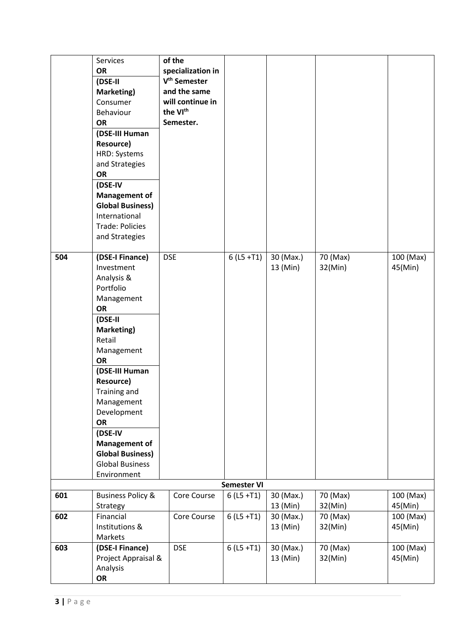|     | Services<br><b>OR</b><br>(DSE-II<br>Marketing)<br>Consumer<br>Behaviour<br><b>OR</b><br>(DSE-III Human<br><b>Resource)</b><br>HRD: Systems<br>and Strategies<br><b>OR</b><br>(DSE-IV<br><b>Management of</b><br><b>Global Business)</b><br>International<br>Trade: Policies<br>and Strategies                                              | of the<br>specialization in<br>V <sup>th</sup> Semester<br>and the same<br>will continue in<br>the VI <sup>th</sup><br>Semester. |                    |                       |                     |                      |
|-----|--------------------------------------------------------------------------------------------------------------------------------------------------------------------------------------------------------------------------------------------------------------------------------------------------------------------------------------------|----------------------------------------------------------------------------------------------------------------------------------|--------------------|-----------------------|---------------------|----------------------|
| 504 | (DSE-I Finance)<br>Investment<br>Analysis &<br>Portfolio<br>Management<br><b>OR</b><br>(DSE-II<br>Marketing)<br>Retail<br>Management<br>OR<br>(DSE-III Human<br><b>Resource)</b><br>Training and<br>Management<br>Development<br>OR<br>(DSE-IV<br><b>Management of</b><br><b>Global Business)</b><br><b>Global Business</b><br>Environment | <b>DSE</b>                                                                                                                       | $6(L5 + T1)$       | 30 (Max.)<br>13 (Min) | 70 (Max)<br>32(Min) | 100 (Max)<br>45(Min) |
|     |                                                                                                                                                                                                                                                                                                                                            |                                                                                                                                  | <b>Semester VI</b> |                       |                     |                      |
| 601 | <b>Business Policy &amp;</b><br>Strategy                                                                                                                                                                                                                                                                                                   | Core Course                                                                                                                      | $6(L5 + T1)$       | 30 (Max.)<br>13 (Min) | 70 (Max)<br>32(Min) | 100 (Max)<br>45(Min) |
| 602 | Financial<br>Institutions &<br>Markets                                                                                                                                                                                                                                                                                                     | Core Course                                                                                                                      | $6(L5 + T1)$       | 30 (Max.)<br>13 (Min) | 70 (Max)<br>32(Min) | 100 (Max)<br>45(Min) |
| 603 | (DSE-I Finance)<br>Project Appraisal &<br>Analysis<br>OR                                                                                                                                                                                                                                                                                   | <b>DSE</b>                                                                                                                       | $6(L5 + T1)$       | 30 (Max.)<br>13 (Min) | 70 (Max)<br>32(Min) | 100 (Max)<br>45(Min) |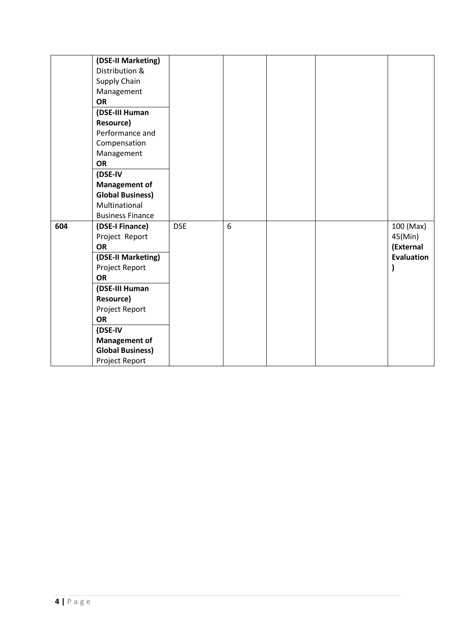|     | (DSE-II Marketing)<br>Distribution &<br>Supply Chain<br>Management<br><b>OR</b><br>(DSE-III Human<br><b>Resource)</b><br>Performance and<br>Compensation<br>Management<br><b>OR</b><br>(DSE-IV<br><b>Management of</b><br><b>Global Business)</b><br>Multinational                  |            |                 |  |                                                        |
|-----|-------------------------------------------------------------------------------------------------------------------------------------------------------------------------------------------------------------------------------------------------------------------------------------|------------|-----------------|--|--------------------------------------------------------|
| 604 | <b>Business Finance</b><br>(DSE-I Finance)<br>Project Report<br><b>OR</b><br>(DSE-II Marketing)<br>Project Report<br><b>OR</b><br>(DSE-III Human<br><b>Resource)</b><br>Project Report<br><b>OR</b><br>(DSE-IV<br><b>Management of</b><br><b>Global Business)</b><br>Project Report | <b>DSE</b> | $6\phantom{1}6$ |  | 100 (Max)<br>45(Min)<br>(External<br><b>Evaluation</b> |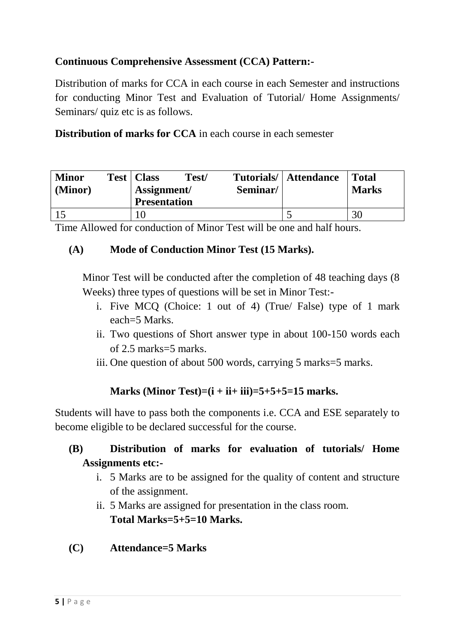# **Continuous Comprehensive Assessment (CCA) Pattern:-**

Distribution of marks for CCA in each course in each Semester and instructions for conducting Minor Test and Evaluation of Tutorial/ Home Assignments/ Seminars/ quiz etc is as follows.

**Distribution of marks for CCA** in each course in each semester

| <b>Minor</b><br>(Minor) | Test | Class<br>Assignment/ | Test/ | Seminar/ | Tutorials/   Attendance | <b>Total</b><br><b>Marks</b> |
|-------------------------|------|----------------------|-------|----------|-------------------------|------------------------------|
|                         |      | <b>Presentation</b>  |       |          |                         |                              |
|                         |      |                      |       |          |                         | 30                           |

Time Allowed for conduction of Minor Test will be one and half hours.

# **(A) Mode of Conduction Minor Test (15 Marks).**

Minor Test will be conducted after the completion of 48 teaching days (8 Weeks) three types of questions will be set in Minor Test:-

- i. Five MCQ (Choice: 1 out of 4) (True/ False) type of 1 mark each=5 Marks.
- ii. Two questions of Short answer type in about 100-150 words each of 2.5 marks=5 marks.
- iii. One question of about 500 words, carrying 5 marks=5 marks.

# **Marks (Minor Test)=(i + ii+ iii)=5+5+5=15 marks.**

Students will have to pass both the components i.e. CCA and ESE separately to become eligible to be declared successful for the course.

# **(B) Distribution of marks for evaluation of tutorials/ Home Assignments etc:-**

- i. 5 Marks are to be assigned for the quality of content and structure of the assignment.
- ii. 5 Marks are assigned for presentation in the class room. **Total Marks=5+5=10 Marks.**
- **(C) Attendance=5 Marks**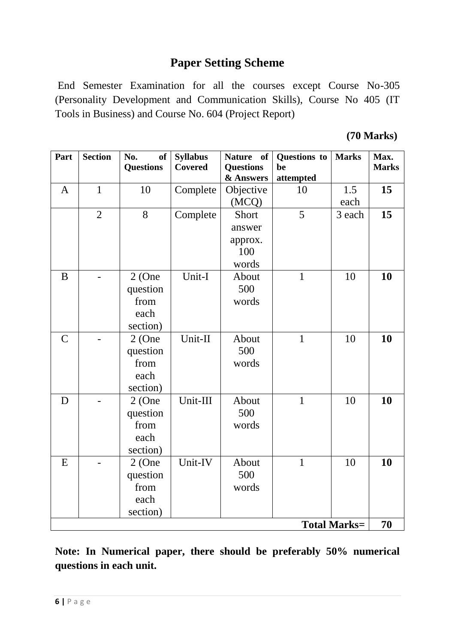# **Paper Setting Scheme**

End Semester Examination for all the courses except Course No-305 (Personality Development and Communication Skills), Course No 405 (IT Tools in Business) and Course No. 604 (Project Report)

|  | $(70$ Marks) |
|--|--------------|
|--|--------------|

| Part          | <b>Section</b> | No.<br>of<br><b>Questions</b> | <b>Syllabus</b><br><b>Covered</b> | <b>Nature</b><br>of<br><b>Questions</b><br>& Answers | Questions to<br>be<br>attempted | <b>Marks</b>        | Max.<br><b>Marks</b> |
|---------------|----------------|-------------------------------|-----------------------------------|------------------------------------------------------|---------------------------------|---------------------|----------------------|
| $\mathbf{A}$  | $\mathbf{1}$   | 10                            | Complete                          | Objective                                            | 10                              | 1.5                 | 15                   |
|               |                |                               |                                   | (MCQ)                                                |                                 | each                |                      |
|               | $\overline{2}$ | 8                             | Complete                          | Short                                                | 5                               | 3 each              | 15                   |
|               |                |                               |                                   | answer                                               |                                 |                     |                      |
|               |                |                               |                                   | approx.                                              |                                 |                     |                      |
|               |                |                               |                                   | 100                                                  |                                 |                     |                      |
|               |                |                               |                                   | words                                                |                                 |                     |                      |
| B             |                | $2$ (One                      | Unit-I                            | About                                                | $\mathbf{1}$                    | 10                  | 10                   |
|               |                | question                      |                                   | 500                                                  |                                 |                     |                      |
|               |                | from                          |                                   | words                                                |                                 |                     |                      |
|               |                | each                          |                                   |                                                      |                                 |                     |                      |
|               |                | section)                      |                                   |                                                      |                                 |                     |                      |
| $\mathcal{C}$ |                | $2$ (One                      | Unit-II                           | About                                                | $\mathbf{1}$                    | 10                  | 10                   |
|               |                | question                      |                                   | 500                                                  |                                 |                     |                      |
|               |                | from                          |                                   | words                                                |                                 |                     |                      |
|               |                | each                          |                                   |                                                      |                                 |                     |                      |
|               |                | section)                      |                                   |                                                      |                                 |                     |                      |
| D             |                | $2$ (One                      | Unit-III                          | About                                                | $\mathbf{1}$                    | 10                  | 10                   |
|               |                | question                      |                                   | 500                                                  |                                 |                     |                      |
|               |                | from                          |                                   | words                                                |                                 |                     |                      |
|               |                | each                          |                                   |                                                      |                                 |                     |                      |
|               |                | section)                      |                                   |                                                      |                                 |                     |                      |
| E             |                | $2$ (One                      | Unit-IV                           | About                                                | $\mathbf{1}$                    | 10                  | 10                   |
|               |                | question                      |                                   | 500                                                  |                                 |                     |                      |
|               |                | from                          |                                   | words                                                |                                 |                     |                      |
|               |                | each                          |                                   |                                                      |                                 |                     |                      |
|               |                | section)                      |                                   |                                                      |                                 |                     |                      |
|               |                |                               |                                   |                                                      |                                 | <b>Total Marks=</b> | 70                   |

**Note: In Numerical paper, there should be preferably 50% numerical questions in each unit.**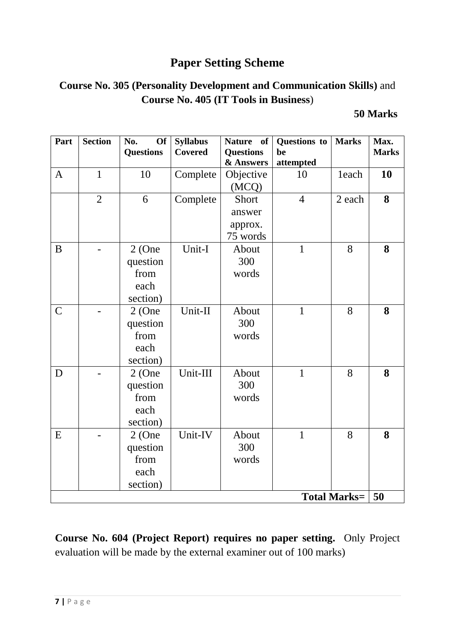# **Paper Setting Scheme**

# **Course No. 305 (Personality Development and Communication Skills)** and **Course No. 405 (IT Tools in Business**)

# **50 Marks**

| Part          | <b>Section</b> | No.<br><b>Of</b><br><b>Questions</b> | <b>Syllabus</b><br><b>Covered</b> | <b>Nature</b><br>of<br><b>Questions</b> | Questions to<br>be | <b>Marks</b>        | Max.<br><b>Marks</b> |
|---------------|----------------|--------------------------------------|-----------------------------------|-----------------------------------------|--------------------|---------------------|----------------------|
|               |                |                                      |                                   | & Answers                               | attempted          |                     |                      |
| $\mathbf{A}$  | $\mathbf{1}$   | 10                                   | Complete                          | Objective                               | 10                 | 1each               | 10                   |
|               |                |                                      |                                   | (MCQ)                                   |                    |                     |                      |
|               | $\overline{2}$ | 6                                    | Complete                          | Short                                   | $\overline{4}$     | 2 each              | 8                    |
|               |                |                                      |                                   | answer                                  |                    |                     |                      |
|               |                |                                      |                                   | approx.                                 |                    |                     |                      |
|               |                |                                      |                                   | 75 words                                |                    |                     |                      |
| B             |                | $2$ (One                             | Unit-I                            | About                                   | $\mathbf{1}$       | 8                   | 8                    |
|               |                | question                             |                                   | 300                                     |                    |                     |                      |
|               |                | from                                 |                                   | words                                   |                    |                     |                      |
|               |                | each                                 |                                   |                                         |                    |                     |                      |
|               |                | section)                             |                                   |                                         |                    |                     |                      |
| $\mathcal{C}$ |                | $2$ (One                             | Unit-II                           | About                                   | $\mathbf{1}$       | 8                   | 8                    |
|               |                | question                             |                                   | 300                                     |                    |                     |                      |
|               |                | from                                 |                                   | words                                   |                    |                     |                      |
|               |                | each                                 |                                   |                                         |                    |                     |                      |
|               |                | section)                             |                                   |                                         |                    |                     |                      |
| D             |                | $2$ (One                             | Unit-III                          | About                                   | $\mathbf{1}$       | 8                   | 8                    |
|               |                | question                             |                                   | 300                                     |                    |                     |                      |
|               |                | from                                 |                                   | words                                   |                    |                     |                      |
|               |                | each                                 |                                   |                                         |                    |                     |                      |
|               |                | section)                             |                                   |                                         |                    |                     |                      |
| E             |                | $2$ (One                             | Unit-IV                           | About                                   | $\mathbf{1}$       | 8                   | 8                    |
|               |                | question                             |                                   | 300                                     |                    |                     |                      |
|               |                | from                                 |                                   | words                                   |                    |                     |                      |
|               |                | each                                 |                                   |                                         |                    |                     |                      |
|               |                | section)                             |                                   |                                         |                    |                     |                      |
|               |                |                                      |                                   |                                         |                    | <b>Total Marks=</b> | 50                   |

**Course No. 604 (Project Report) requires no paper setting.** Only Project evaluation will be made by the external examiner out of 100 marks)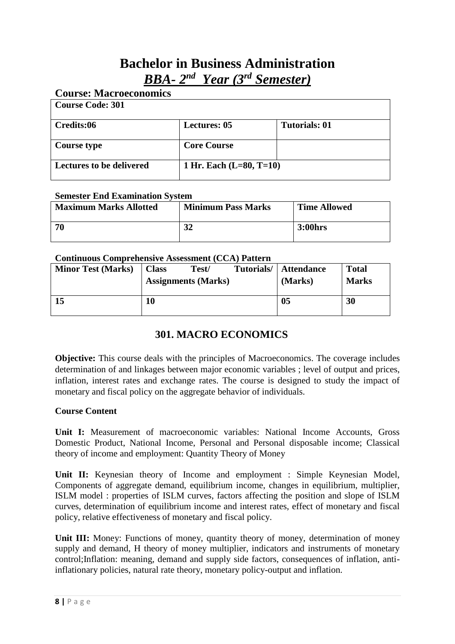# **Bachelor in Business Administration** *BBA- 2 nd Year (3rd Semester)*

# **Course: Macroeconomics Course Code: 301 Credits:06 Lectures: 05 Tutorials: 01 Course type**  Core Course **Lectures to be delivered 1 Hr. Each (L=80, T=10)**

# **Semester End Examination System**

| <b>Maximum Marks Allotted</b> | <b>Minimum Pass Marks</b> | <b>Time Allowed</b> |
|-------------------------------|---------------------------|---------------------|
| 70                            | 32                        | 3:00hrs             |

#### **Continuous Comprehensive Assessment (CCA) Pattern**

| <b>Minor Test (Marks)</b> | <b>Class</b> | Test/<br><b>Assignments (Marks)</b> | Tutorials/ | <b>Attendance</b><br>(Marks) | <b>Total</b><br><b>Marks</b> |
|---------------------------|--------------|-------------------------------------|------------|------------------------------|------------------------------|
| 15                        | 10           |                                     |            | 05                           | 30                           |

# **301. MACRO ECONOMICS**

**Objective:** This course deals with the principles of Macroeconomics. The coverage includes determination of and linkages between major economic variables ; level of output and prices, inflation, interest rates and exchange rates. The course is designed to study the impact of monetary and fiscal policy on the aggregate behavior of individuals.

#### **Course Content**

**Unit I:** Measurement of macroeconomic variables: National Income Accounts, Gross Domestic Product, National Income, Personal and Personal disposable income; Classical theory of income and employment: Quantity Theory of Money

Unit II: Keynesian theory of Income and employment : Simple Keynesian Model, Components of aggregate demand, equilibrium income, changes in equilibrium, multiplier, ISLM model : properties of ISLM curves, factors affecting the position and slope of ISLM curves, determination of equilibrium income and interest rates, effect of monetary and fiscal policy, relative effectiveness of monetary and fiscal policy.

**Unit III:** Money: Functions of money, quantity theory of money, determination of money supply and demand, H theory of money multiplier, indicators and instruments of monetary control;Inflation: meaning, demand and supply side factors, consequences of inflation, antiinflationary policies, natural rate theory, monetary policy-output and inflation.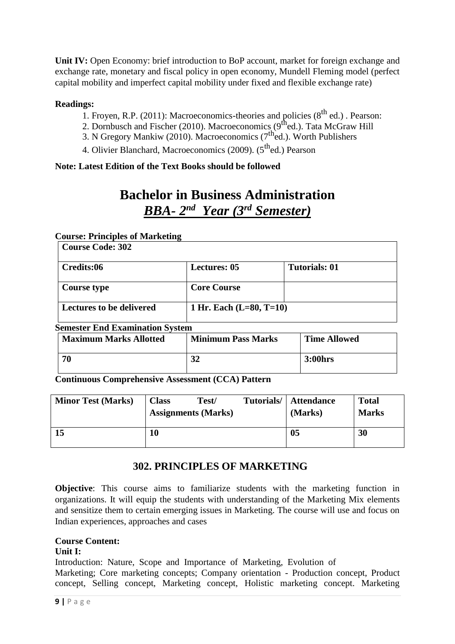Unit IV: Open Economy: brief introduction to BoP account, market for foreign exchange and exchange rate, monetary and fiscal policy in open economy, Mundell Fleming model (perfect capital mobility and imperfect capital mobility under fixed and flexible exchange rate)

# **Readings:**

- 1. Froyen, R.P. (2011): Macroeconomics-theories and policies ( $8<sup>th</sup>$  ed.) . Pearson:
- 2. Dornbusch and Fischer (2010). Macroeconomics (9<sup>th</sup>ed.). Tata McGraw Hill
- 3. N Gregory Mankiw (2010). Macroeconomics ( $7<sup>th</sup>$ ed.). Worth Publishers
- 4. Olivier Blanchard, Macroeconomics (2009). (5<sup>th</sup>ed.) Pearson

# **Note: Latest Edition of the Text Books should be followed**

# **Bachelor in Business Administration** *BBA- 2 nd Year (3rd Semester)*

#### **Course: Principles of Marketing**

| <b>Course Code: 302</b>         |                           |                      |
|---------------------------------|---------------------------|----------------------|
| Credits:06                      | <b>Lectures: 05</b>       | <b>Tutorials: 01</b> |
| <b>Course type</b>              | <b>Core Course</b>        |                      |
| <b>Lectures to be delivered</b> | 1 Hr. Each $(L=80, T=10)$ |                      |

# **Semester End Examination System**

| <b>Maximum Marks Allotted</b> | <b>Minimum Pass Marks</b> | <b>Time Allowed</b> |
|-------------------------------|---------------------------|---------------------|
| 70                            | 32                        | 3:00hrs             |

**Continuous Comprehensive Assessment (CCA) Pattern**

| <b>Minor Test (Marks)</b> | <b>Class</b><br>Test/<br><b>Assignments (Marks)</b> | Tutorials/ | <b>Attendance</b><br>(Marks) | <b>Total</b><br><b>Marks</b> |
|---------------------------|-----------------------------------------------------|------------|------------------------------|------------------------------|
| 15                        | l0                                                  |            | 05                           | 30                           |

# **302. PRINCIPLES OF MARKETING**

**Objective**: This course aims to familiarize students with the marketing function in organizations. It will equip the students with understanding of the Marketing Mix elements and sensitize them to certain emerging issues in Marketing. The course will use and focus on Indian experiences, approaches and cases

# **Course Content:**

#### **Unit I:**

Introduction: Nature, Scope and Importance of Marketing, Evolution of Marketing; Core marketing concepts; Company orientation - Production concept, Product concept, Selling concept, Marketing concept, Holistic marketing concept. Marketing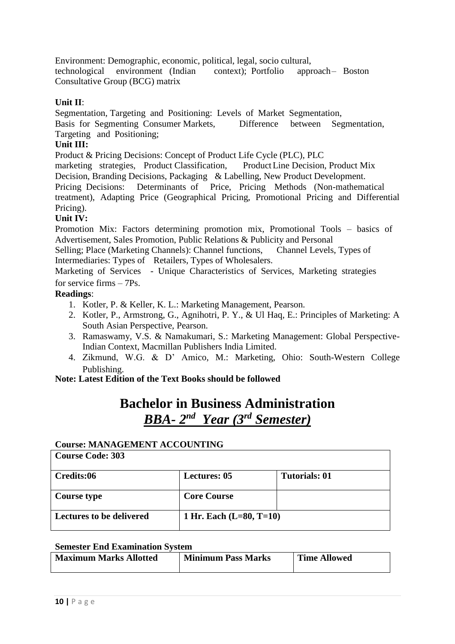Environment: Demographic, economic, political, legal, socio cultural, technological environment (Indian context); Portfolio approach– Boston Consultative Group (BCG) matrix

# **Unit II**:

Segmentation, Targeting and Positioning: Levels of Market Segmentation, Basis for Segmenting Consumer Markets, Difference between Segmentation,

Targeting and Positioning;

# **Unit III:**

Product & Pricing Decisions: Concept of Product Life Cycle (PLC), PLC

marketing strategies, Product Classification, ProductLine Decision, Product Mix Decision, Branding Decisions, Packaging & Labelling, New Product Development. Pricing Decisions: Determinants of Price, Pricing Methods (Non-mathematical treatment), Adapting Price (Geographical Pricing, Promotional Pricing and Differential

# Pricing).

# **Unit IV:**

Promotion Mix: Factors determining promotion mix, Promotional Tools – basics of Advertisement, Sales Promotion, Public Relations & Publicity and Personal

Selling; Place (Marketing Channels): Channel functions, Channel Levels, Types of Intermediaries: Types of Retailers, Types of Wholesalers.

Marketing of Services - Unique Characteristics of Services, Marketing strategies for service firms – 7Ps.

# **Readings**:

- 1. Kotler, P. & Keller, K. L.: Marketing Management, Pearson.
- 2. Kotler, P., Armstrong, G., Agnihotri, P. Y., & Ul Haq, E.: Principles of Marketing: A South Asian Perspective, Pearson.
- 3. Ramaswamy, V.S. & Namakumari, S.: Marketing Management: Global Perspective-Indian Context, Macmillan Publishers India Limited.
- 4. Zikmund, W.G. & D' Amico, M.: Marketing, Ohio: South-Western College Publishing.

**Note: Latest Edition of the Text Books should be followed**

# **Bachelor in Business Administration** *BBA- 2 nd Year (3rd Semester)*

# **Course: MANAGEMENT ACCOUNTING**

| <b>Course Code: 303</b>         |                           |                      |
|---------------------------------|---------------------------|----------------------|
| Credits:06                      | <b>Lectures: 05</b>       | <b>Tutorials: 01</b> |
| Course type                     | <b>Core Course</b>        |                      |
| <b>Lectures to be delivered</b> | 1 Hr. Each $(L=80, T=10)$ |                      |

# **Semester End Examination System**

| <b>Maximum Marks Allotted</b> | <b>Minimum Pass Marks</b> | <b>Time Allowed</b> |
|-------------------------------|---------------------------|---------------------|
|                               |                           |                     |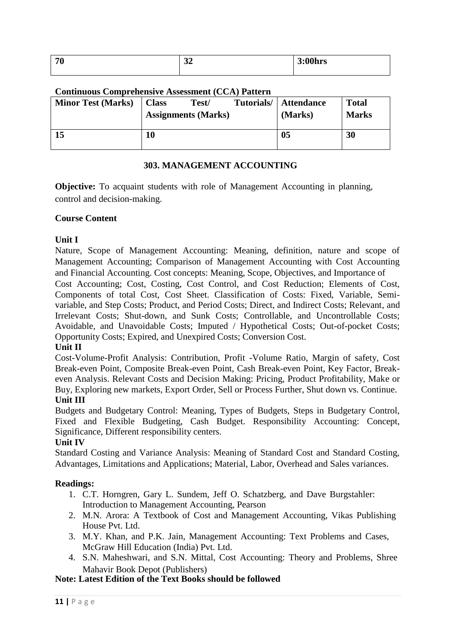| 70 | - -<br>ັ້ | .001<br>$\rightarrow$<br><b>UU</b> nrs |
|----|-----------|----------------------------------------|
|    |           |                                        |

#### **Continuous Comprehensive Assessment (CCA) Pattern**

| <b>Minor Test (Marks)</b> | <b>Class</b> | Test/<br><b>Assignments (Marks)</b> | Tutorials/ | <b>Attendance</b><br>(Marks) | <b>Total</b><br><b>Marks</b> |
|---------------------------|--------------|-------------------------------------|------------|------------------------------|------------------------------|
| 15                        | 10           |                                     |            | 05                           | 30                           |

#### **303. MANAGEMENT ACCOUNTING**

**Objective:** To acquaint students with role of Management Accounting in planning, control and decision-making.

#### **Course Content**

# **Unit I**

Nature, Scope of Management Accounting: Meaning, definition, nature and scope of Management Accounting; Comparison of Management Accounting with Cost Accounting and Financial Accounting. Cost concepts: Meaning, Scope, Objectives, and Importance of Cost Accounting; Cost, Costing, Cost Control, and Cost Reduction; Elements of Cost, Components of total Cost, Cost Sheet. Classification of Costs: Fixed, Variable, Semivariable, and Step Costs; Product, and Period Costs; Direct, and Indirect Costs; Relevant, and Irrelevant Costs; Shut-down, and Sunk Costs; Controllable, and Uncontrollable Costs; Avoidable, and Unavoidable Costs; Imputed / Hypothetical Costs; Out-of-pocket Costs; Opportunity Costs; Expired, and Unexpired Costs; Conversion Cost.

# **Unit II**

Cost-Volume-Profit Analysis: Contribution, Profit -Volume Ratio, Margin of safety, Cost Break-even Point, Composite Break-even Point, Cash Break-even Point, Key Factor, Breakeven Analysis. Relevant Costs and Decision Making: Pricing, Product Profitability, Make or Buy, Exploring new markets, Export Order, Sell or Process Further, Shut down vs. Continue. **Unit III**

Budgets and Budgetary Control: Meaning, Types of Budgets, Steps in Budgetary Control, Fixed and Flexible Budgeting, Cash Budget. Responsibility Accounting: Concept, Significance, Different responsibility centers.

# **Unit IV**

Standard Costing and Variance Analysis: Meaning of Standard Cost and Standard Costing, Advantages, Limitations and Applications; Material, Labor, Overhead and Sales variances.

# **Readings:**

- 1. C.T. Horngren, Gary L. Sundem, Jeff O. Schatzberg, and Dave Burgstahler: Introduction to Management Accounting, Pearson
- 2. M.N. Arora: A Textbook of Cost and Management Accounting, Vikas Publishing House Pvt. Ltd.
- 3. M.Y. Khan, and P.K. Jain, Management Accounting: Text Problems and Cases, McGraw Hill Education (India) Pvt. Ltd.
- 4. S.N. Maheshwari, and S.N. Mittal, Cost Accounting: Theory and Problems, Shree Mahavir Book Depot (Publishers)

### **Note: Latest Edition of the Text Books should be followed**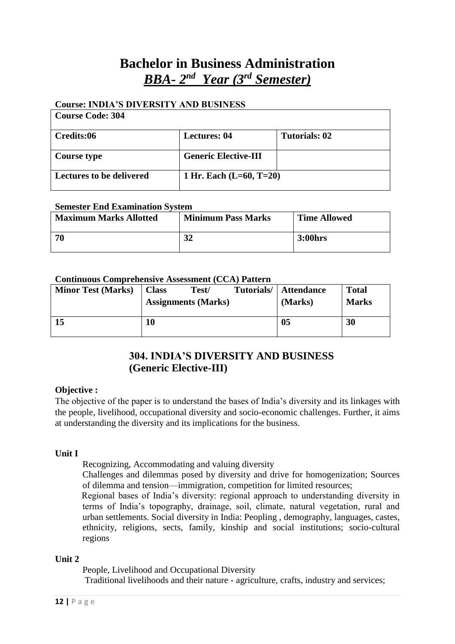# **Bachelor in Business Administration** *BBA- 2 nd Year (3rd Semester)*

# **Course: INDIA'S DIVERSITY AND BUSINESS**

| <b>Course Code: 304</b>         |                             |               |
|---------------------------------|-----------------------------|---------------|
| Credits:06                      | <b>Lectures: 04</b>         | Tutorials: 02 |
| <b>Course type</b>              | <b>Generic Elective-III</b> |               |
| <b>Lectures to be delivered</b> | 1 Hr. Each $(L=60, T=20)$   |               |

#### **Semester End Examination System**

| <b>Maximum Marks Allotted</b> | <b>Minimum Pass Marks</b> | <b>Time Allowed</b> |
|-------------------------------|---------------------------|---------------------|
| -70                           | 32                        | 3:00hrs             |

#### **Continuous Comprehensive Assessment (CCA) Pattern**

| <b>Minor Test (Marks)</b> | <b>Class</b> | Test/<br><b>Assignments (Marks)</b> | Tutorials/ | <b>Attendance</b><br>(Marks) | <b>Total</b><br><b>Marks</b> |
|---------------------------|--------------|-------------------------------------|------------|------------------------------|------------------------------|
| 15                        | 10           |                                     |            | 0 <sub>5</sub>               | 30                           |

# **304. INDIA'S DIVERSITY AND BUSINESS (Generic Elective-III)**

# **Objective :**

The objective of the paper is to understand the bases of India's diversity and its linkages with the people, livelihood, occupational diversity and socio-economic challenges. Further, it aims at understanding the diversity and its implications for the business.

# **Unit I**

Recognizing, Accommodating and valuing diversity

Challenges and dilemmas posed by diversity and drive for homogenization; Sources of dilemma and tension—immigration, competition for limited resources;

Regional bases of India's diversity: regional approach to understanding diversity in terms of India's topography, drainage, soil, climate, natural vegetation, rural and urban settlements. Social diversity in India: Peopling , demography, languages, castes, ethnicity, religions, sects, family, kinship and social institutions; socio-cultural regions

#### **Unit 2**

People, Livelihood and Occupational Diversity

Traditional livelihoods and their nature - agriculture, crafts, industry and services;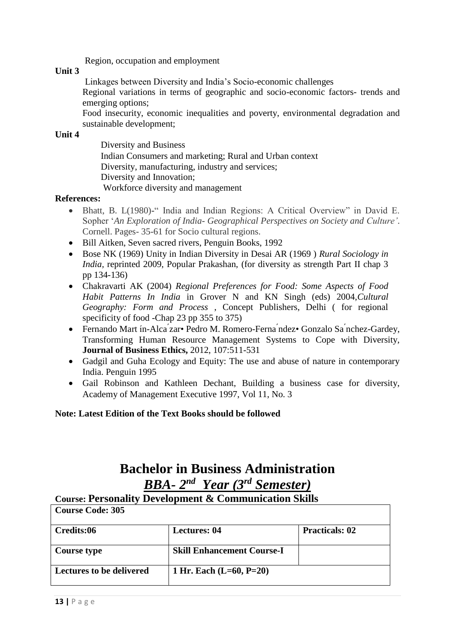Region, occupation and employment

### **Unit 3**

Linkages between Diversity and India's Socio-economic challenges

Regional variations in terms of geographic and socio-economic factors- trends and emerging options;

Food insecurity, economic inequalities and poverty, environmental degradation and sustainable development;

### **Unit 4**

Diversity and Business Indian Consumers and marketing; Rural and Urban context Diversity, manufacturing, industry and services; Diversity and Innovation; Workforce diversity and management

#### **References:**

- Bhatt, B. L(1980)**-**" India and Indian Regions: A Critical Overview" in David E. Sopher '*An Exploration of India- Geographical Perspectives on Society and Culture'*. Cornell. Pages- 35-61 for Socio cultural regions.
- Bill Aitken, Seven sacred rivers, Penguin Books, 1992
- Bose NK (1969) Unity in Indian Diversity in Desai AR (1969 ) *Rural Sociology in India, reprinted 2009, Popular Prakashan, (for diversity as strength Part II chap 3* pp 134-136)
- Chakravarti AK (2004) *Regional Preferences for Food: Some Aspects of Food Habit Patterns In India* in Grover N and KN Singh (eds) 2004,*Cultural Geography: Form and Process* , Concept Publishers, Delhi ( for regional specificity of food -Chap 23 pp 355 to 375)
- Fernando Mart in-Alca zar• Pedro M. Romero-Ferna ndez• Gonzalo Sa nchez-Gardey, Transforming Human Resource Management Systems to Cope with Diversity, **Journal of Business Ethics,** 2012, 107:511-531
- Gadgil and Guha Ecology and Equity: The use and abuse of nature in contemporary India. Penguin 1995
- Gail Robinson and Kathleen Dechant, Building a business case for diversity, Academy of Management Executive 1997, Vol 11, No. 3

# **Note: Latest Edition of the Text Books should be followed**

# **Bachelor in Business Administration** *BBA- 2 nd Year (3rd Semester)*

# **Course: Personality Development & Communication Skills**

| <b>Course Code: 305</b>         |                                   |                       |
|---------------------------------|-----------------------------------|-----------------------|
| Credits:06                      | <b>Lectures: 04</b>               | <b>Practicals: 02</b> |
| Course type                     | <b>Skill Enhancement Course-I</b> |                       |
| <b>Lectures to be delivered</b> | 1 Hr. Each $(L=60, P=20)$         |                       |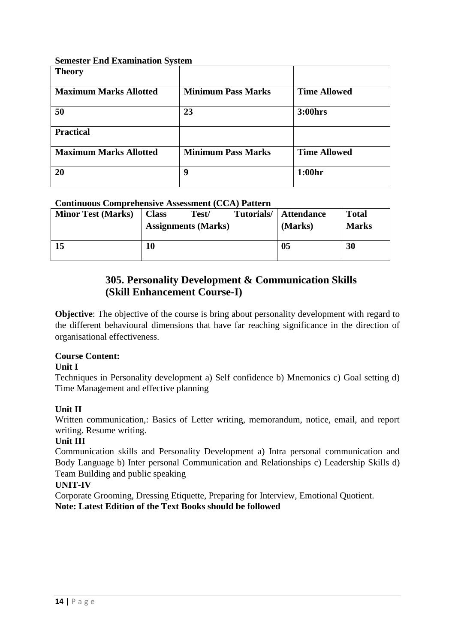### **Semester End Examination System**

| <b>Theory</b>                 |                           |                     |
|-------------------------------|---------------------------|---------------------|
| <b>Maximum Marks Allotted</b> | <b>Minimum Pass Marks</b> | <b>Time Allowed</b> |
| 50                            | 23                        | 3:00hrs             |
| <b>Practical</b>              |                           |                     |
| <b>Maximum Marks Allotted</b> | <b>Minimum Pass Marks</b> | <b>Time Allowed</b> |
| 20                            | 9                         | 1:00hr              |

# **Continuous Comprehensive Assessment (CCA) Pattern**

| <b>Minor Test (Marks)</b> | <b>Class</b> | Test/<br><b>Assignments (Marks)</b> | Tutorials/ | Attendance<br>(Marks) | <b>Total</b><br><b>Marks</b> |
|---------------------------|--------------|-------------------------------------|------------|-----------------------|------------------------------|
| 15                        | 10           |                                     |            | 05                    | 30                           |

# **305. Personality Development & Communication Skills (Skill Enhancement Course-I)**

**Objective**: The objective of the course is bring about personality development with regard to the different behavioural dimensions that have far reaching significance in the direction of organisational effectiveness.

# **Course Content:**

# **Unit I**

Techniques in Personality development a) Self confidence b) Mnemonics c) Goal setting d) Time Management and effective planning

# **Unit II**

Written communication,: Basics of Letter writing, memorandum, notice, email, and report writing. Resume writing.

# **Unit III**

Communication skills and Personality Development a) Intra personal communication and Body Language b) Inter personal Communication and Relationships c) Leadership Skills d) Team Building and public speaking

# **UNIT-IV**

Corporate Grooming, Dressing Etiquette, Preparing for Interview, Emotional Quotient. **Note: Latest Edition of the Text Books should be followed**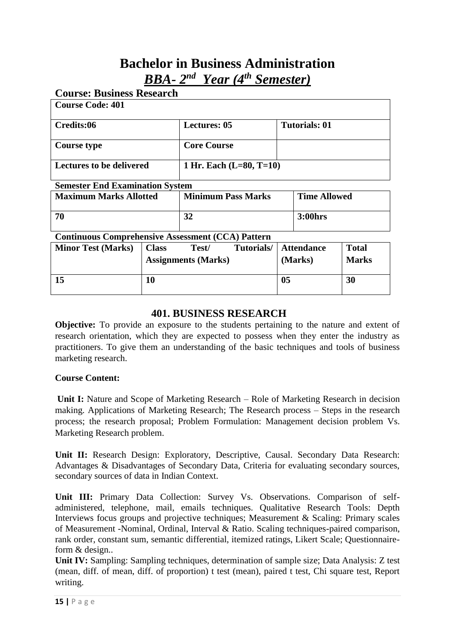# **Bachelor in Business Administration** *BBA- 2 nd Year (4 th Semester)*

| <b>Course: Business Research</b>                         |                                                              |                     |                           |                      |                     |
|----------------------------------------------------------|--------------------------------------------------------------|---------------------|---------------------------|----------------------|---------------------|
| <b>Course Code: 401</b>                                  |                                                              |                     |                           |                      |                     |
| Credits:06                                               |                                                              | <b>Lectures: 05</b> |                           | <b>Tutorials: 01</b> |                     |
| <b>Course type</b>                                       |                                                              | <b>Core Course</b>  |                           |                      |                     |
|                                                          | <b>Lectures to be delivered</b><br>1 Hr. Each $(L=80, T=10)$ |                     |                           |                      |                     |
| <b>Semester End Examination System</b>                   |                                                              |                     |                           |                      |                     |
| <b>Maximum Marks Allotted</b>                            |                                                              |                     | <b>Minimum Pass Marks</b> |                      | <b>Time Allowed</b> |
| 70                                                       |                                                              |                     | 32<br>3:00hrs             |                      |                     |
| <b>Continuous Comprehensive Assessment (CCA) Pattern</b> |                                                              |                     |                           |                      |                     |
| <b>Minor Test (Marks)</b>                                | <b>Class</b>                                                 | Test/               | Tutorials/                | <b>Attendance</b>    | <b>Total</b>        |
|                                                          | <b>Assignments (Marks)</b>                                   |                     | (Marks)                   | <b>Marks</b>         |                     |
| 15                                                       | 10                                                           |                     |                           | 0 <sub>5</sub>       | 30                  |
|                                                          |                                                              |                     |                           |                      |                     |

# **401. BUSINESS RESEARCH**

**Objective:** To provide an exposure to the students pertaining to the nature and extent of research orientation, which they are expected to possess when they enter the industry as practitioners. To give them an understanding of the basic techniques and tools of business marketing research.

# **Course Content:**

**Unit I:** Nature and Scope of Marketing Research – Role of Marketing Research in decision making. Applications of Marketing Research; The Research process – Steps in the research process; the research proposal; Problem Formulation: Management decision problem Vs. Marketing Research problem.

**Unit II:** Research Design: Exploratory, Descriptive, Causal. Secondary Data Research: Advantages & Disadvantages of Secondary Data, Criteria for evaluating secondary sources, secondary sources of data in Indian Context.

**Unit III:** Primary Data Collection: Survey Vs. Observations. Comparison of selfadministered, telephone, mail, emails techniques. Qualitative Research Tools: Depth Interviews focus groups and projective techniques; Measurement & Scaling: Primary scales of Measurement -Nominal, Ordinal, Interval & Ratio. Scaling techniques-paired comparison, rank order, constant sum, semantic differential, itemized ratings, Likert Scale; Questionnaireform & design..

**Unit IV:** Sampling: Sampling techniques, determination of sample size; Data Analysis: Z test (mean, diff. of mean, diff. of proportion) t test (mean), paired t test, Chi square test, Report writing.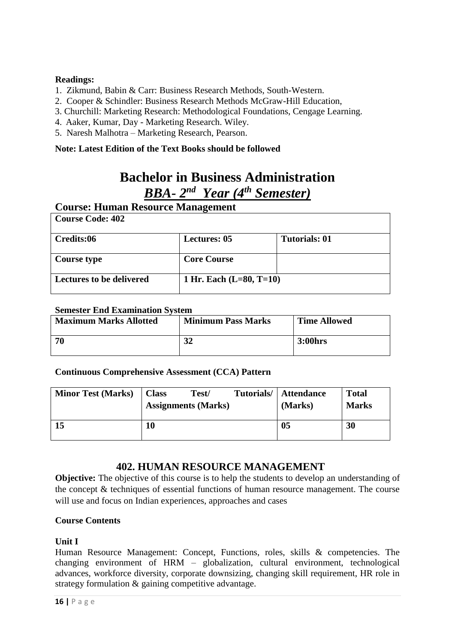# **Readings:**

- 1. Zikmund, Babin & Carr: Business Research Methods, South-Western.
- 2. Cooper & Schindler: Business Research Methods McGraw-Hill Education,
- 3. Churchill: Marketing Research: Methodological Foundations, Cengage Learning.
- 4. Aaker, Kumar, Day Marketing Research. Wiley.
- 5. Naresh Malhotra Marketing Research, Pearson.

# **Note: Latest Edition of the Text Books should be followed**

# **Bachelor in Business Administration** *BBA- 2 nd Year (4 th Semester)*

# **Course: Human Resource Management**

| <b>Course Code: 402</b>         |                           |                      |
|---------------------------------|---------------------------|----------------------|
| Credits:06                      | <b>Lectures: 05</b>       | <b>Tutorials: 01</b> |
| Course type                     | <b>Core Course</b>        |                      |
| <b>Lectures to be delivered</b> | 1 Hr. Each $(L=80, T=10)$ |                      |

# **Semester End Examination System**

| <b>Maximum Marks Allotted</b> | <b>Minimum Pass Marks</b> | <b>Time Allowed</b> |
|-------------------------------|---------------------------|---------------------|
| -70                           | 32                        | 3:00hrs             |

**Continuous Comprehensive Assessment (CCA) Pattern**

| <b>Minor Test (Marks)</b> | <b>Class</b> | Test/<br><b>Assignments (Marks)</b> | Tutorials/ | <b>Attendance</b><br>(Marks) | <b>Total</b><br><b>Marks</b> |
|---------------------------|--------------|-------------------------------------|------------|------------------------------|------------------------------|
| 15                        | 10           |                                     |            | 05                           | 30                           |

# **402. HUMAN RESOURCE MANAGEMENT**

**Objective:** The objective of this course is to help the students to develop an understanding of the concept & techniques of essential functions of human resource management. The course will use and focus on Indian experiences, approaches and cases

# **Course Contents**

# **Unit I**

Human Resource Management: Concept, Functions, roles, skills & competencies. The changing environment of HRM – globalization, cultural environment, technological advances, workforce diversity, corporate downsizing, changing skill requirement, HR role in strategy formulation & gaining competitive advantage.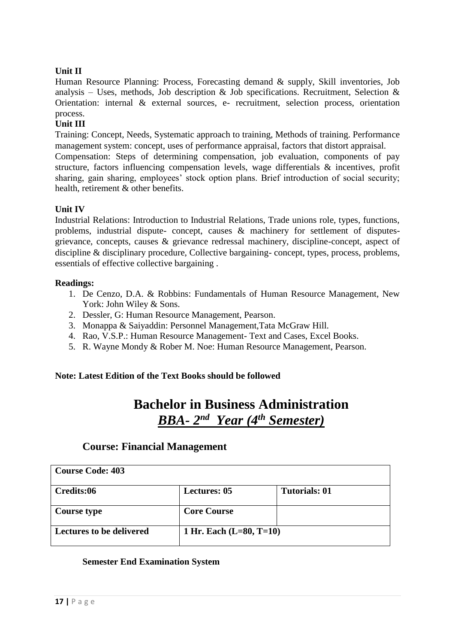# **Unit II**

Human Resource Planning: Process, Forecasting demand & supply, Skill inventories, Job analysis – Uses, methods, Job description & Job specifications. Recruitment, Selection & Orientation: internal & external sources, e- recruitment, selection process, orientation process.

# **Unit III**

Training: Concept, Needs, Systematic approach to training, Methods of training. Performance management system: concept, uses of performance appraisal, factors that distort appraisal.

Compensation: Steps of determining compensation, job evaluation, components of pay structure, factors influencing compensation levels, wage differentials & incentives, profit sharing, gain sharing, employees' stock option plans. Brief introduction of social security; health, retirement & other benefits.

#### **Unit IV**

Industrial Relations: Introduction to Industrial Relations, Trade unions role, types, functions, problems, industrial dispute- concept, causes & machinery for settlement of disputesgrievance, concepts, causes & grievance redressal machinery, discipline-concept, aspect of discipline & disciplinary procedure, Collective bargaining- concept, types, process, problems, essentials of effective collective bargaining .

#### **Readings:**

- 1. De Cenzo, D.A. & Robbins: Fundamentals of Human Resource Management, New York: John Wiley & Sons.
- 2. Dessler, G: Human Resource Management, Pearson.
- 3. Monappa & Saiyaddin: Personnel Management,Tata McGraw Hill.
- 4. Rao, V.S.P.: Human Resource Management- Text and Cases, Excel Books.
- 5. R. Wayne Mondy & Rober M. Noe: Human Resource Management, Pearson.

# **Note: Latest Edition of the Text Books should be followed**

# **Bachelor in Business Administration** *BBA- 2 nd Year (4th Semester)*

# **Course: Financial Management**

| <b>Course Code: 403</b>         |                           |                      |
|---------------------------------|---------------------------|----------------------|
| Credits:06                      | <b>Lectures: 05</b>       | <b>Tutorials: 01</b> |
| <b>Course type</b>              | <b>Core Course</b>        |                      |
| <b>Lectures to be delivered</b> | 1 Hr. Each $(L=80, T=10)$ |                      |

#### **Semester End Examination System**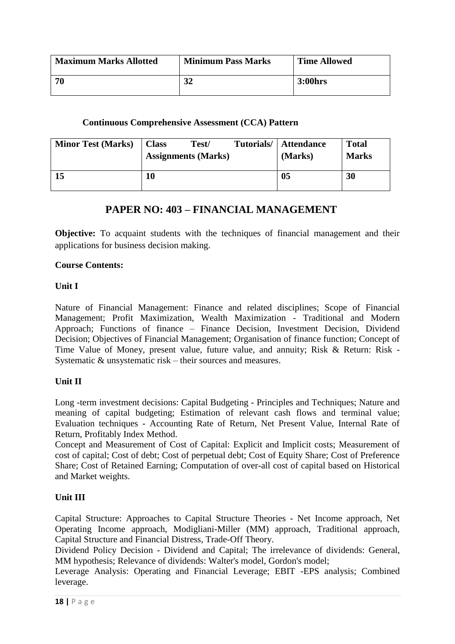| <b>Maximum Marks Allotted</b> | <b>Minimum Pass Marks</b> | <b>Time Allowed</b> |
|-------------------------------|---------------------------|---------------------|
| -70                           | 21                        | 3:00hrs             |

### **Continuous Comprehensive Assessment (CCA) Pattern**

| <b>Minor Test (Marks)</b> | <b>Class</b> | Test/<br><b>Assignments (Marks)</b> | Tutorials/ | Attendance<br>(Marks) | <b>Total</b><br><b>Marks</b> |
|---------------------------|--------------|-------------------------------------|------------|-----------------------|------------------------------|
| 15                        | 10           |                                     |            | 05                    | 30                           |

# **PAPER NO: 403 – FINANCIAL MANAGEMENT**

**Objective:** To acquaint students with the techniques of financial management and their applications for business decision making.

#### **Course Contents:**

# **Unit I**

Nature of Financial Management: Finance and related disciplines; Scope of Financial Management; Profit Maximization, Wealth Maximization - Traditional and Modern Approach; Functions of finance – Finance Decision, Investment Decision, Dividend Decision; Objectives of Financial Management; Organisation of finance function; Concept of Time Value of Money, present value, future value, and annuity; Risk & Return: Risk - Systematic & unsystematic risk – their sources and measures.

# **Unit II**

Long -term investment decisions: Capital Budgeting - Principles and Techniques; Nature and meaning of capital budgeting; Estimation of relevant cash flows and terminal value; Evaluation techniques - Accounting Rate of Return, Net Present Value, Internal Rate of Return, Profitably Index Method.

Concept and Measurement of Cost of Capital: Explicit and Implicit costs; Measurement of cost of capital; Cost of debt; Cost of perpetual debt; Cost of Equity Share; Cost of Preference Share; Cost of Retained Earning; Computation of over-all cost of capital based on Historical and Market weights.

# **Unit III**

Capital Structure: Approaches to Capital Structure Theories - Net Income approach, Net Operating Income approach, Modigliani-Miller (MM) approach, Traditional approach, Capital Structure and Financial Distress, Trade-Off Theory.

Dividend Policy Decision - Dividend and Capital; The irrelevance of dividends: General, MM hypothesis; Relevance of dividends: Walter's model, Gordon's model;

Leverage Analysis: Operating and Financial Leverage; EBIT -EPS analysis; Combined leverage.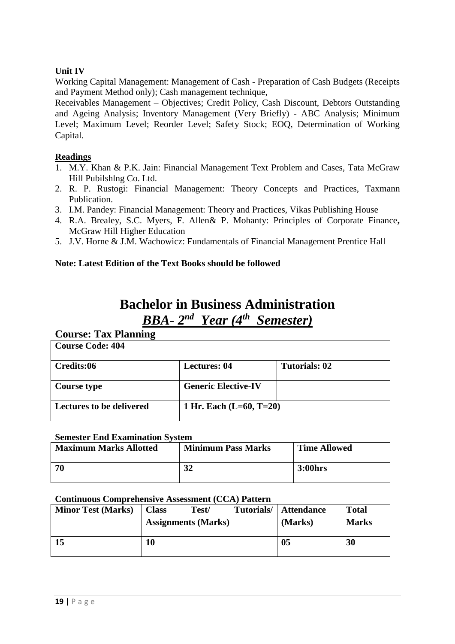# **Unit IV**

Working Capital Management: Management of Cash - Preparation of Cash Budgets (Receipts and Payment Method only); Cash management technique,

Receivables Management – Objectives; Credit Policy, Cash Discount, Debtors Outstanding and Ageing Analysis; Inventory Management (Very Briefly) - ABC Analysis; Minimum Level; Maximum Level; Reorder Level; Safety Stock; EOQ, Determination of Working Capital.

# **Readings**

- 1. M.Y. Khan & P.K. Jain: Financial Management Text Problem and Cases, Tata McGraw Hill Pubilshlng Co. Ltd.
- 2. R. P. Rustogi: Financial Management: Theory Concepts and Practices, Taxmann Publication.
- 3. I.M. Pandey: Financial Management: Theory and Practices, Vikas Publishing House
- 4. R.A. Brealey, S.C. Myers, F. Allen& P. Mohanty: Principles of Corporate Finance**,** McGraw Hill Higher Education
- 5. J.V. Horne & J.M. Wachowicz: Fundamentals of Financial Management Prentice Hall

# **Note: Latest Edition of the Text Books should be followed**

# **Bachelor in Business Administration** *BBA- 2 nd Year (4 th Semester)*

# **Course: Tax Planning**

| <b>Course Code: 404</b>         |                            |               |
|---------------------------------|----------------------------|---------------|
| Credits:06                      | <b>Lectures: 04</b>        | Tutorials: 02 |
| Course type                     | <b>Generic Elective-IV</b> |               |
| <b>Lectures to be delivered</b> | 1 Hr. Each $(L=60, T=20)$  |               |

#### **Semester End Examination System**

| <b>Maximum Marks Allotted</b> | <b>Minimum Pass Marks</b> | <b>Time Allowed</b> |
|-------------------------------|---------------------------|---------------------|
| 70                            | 32                        | 3:00hrs             |

#### **Continuous Comprehensive Assessment (CCA) Pattern**

| <b>Minor Test (Marks)</b> | <b>Class</b> | Test/                      | Tutorials/ | <b>Attendance</b> | <b>Total</b> |
|---------------------------|--------------|----------------------------|------------|-------------------|--------------|
|                           |              | <b>Assignments (Marks)</b> |            | (Marks)           | <b>Marks</b> |
|                           |              |                            |            |                   |              |
| 15                        | 10           |                            |            | 05                | 30           |
|                           |              |                            |            |                   |              |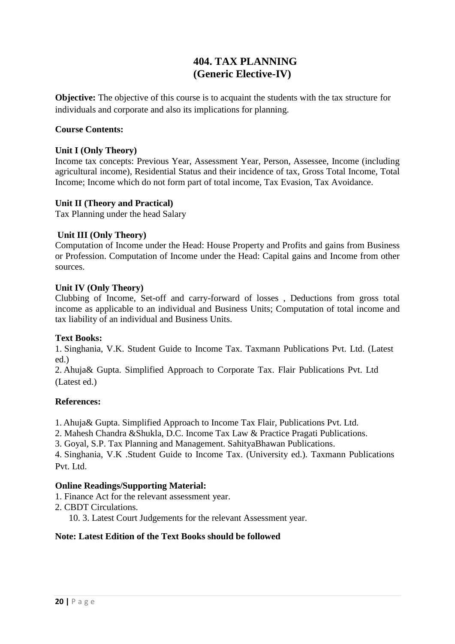# **404. TAX PLANNING (Generic Elective-IV)**

**Objective:** The objective of this course is to acquaint the students with the tax structure for individuals and corporate and also its implications for planning.

#### **Course Contents:**

#### **Unit I (Only Theory)**

Income tax concepts: Previous Year, Assessment Year, Person, Assessee, Income (including agricultural income), Residential Status and their incidence of tax, Gross Total Income, Total Income; Income which do not form part of total income, Tax Evasion, Tax Avoidance.

#### **Unit II (Theory and Practical)**

Tax Planning under the head Salary

# **Unit III (Only Theory)**

Computation of Income under the Head: House Property and Profits and gains from Business or Profession. Computation of Income under the Head: Capital gains and Income from other sources.

#### **Unit IV (Only Theory)**

Clubbing of Income, Set-off and carry-forward of losses , Deductions from gross total income as applicable to an individual and Business Units; Computation of total income and tax liability of an individual and Business Units.

### **Text Books:**

1. Singhania, V.K. Student Guide to Income Tax. Taxmann Publications Pvt. Ltd. (Latest ed.)

2. Ahuja& Gupta. Simplified Approach to Corporate Tax. Flair Publications Pvt. Ltd (Latest ed.)

#### **References:**

1. Ahuja& Gupta. Simplified Approach to Income Tax Flair, Publications Pvt. Ltd.

2. Mahesh Chandra &Shukla, D.C. Income Tax Law & Practice Pragati Publications.

3. Goyal, S.P. Tax Planning and Management. SahityaBhawan Publications.

4. Singhania, V.K .Student Guide to Income Tax. (University ed.). Taxmann Publications Pvt. Ltd.

# **Online Readings/Supporting Material:**

- 1. Finance Act for the relevant assessment year.
- 2. CBDT Circulations.

10. 3. Latest Court Judgements for the relevant Assessment year.

#### **Note: Latest Edition of the Text Books should be followed**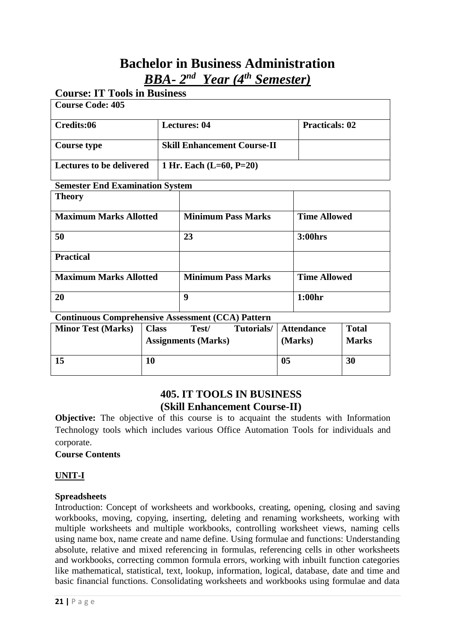# **Bachelor in Business Administration** *BBA- 2 nd Year (4 th Semester)*

| <b>Course Code: 405</b>                |  |                                    |                       |  |  |
|----------------------------------------|--|------------------------------------|-----------------------|--|--|
| Credits:06                             |  | <b>Lectures: 04</b>                | <b>Practicals: 02</b> |  |  |
| <b>Course type</b>                     |  | <b>Skill Enhancement Course-II</b> |                       |  |  |
| <b>Lectures to be delivered</b>        |  | 1 Hr. Each $(L=60, P=20)$          |                       |  |  |
| <b>Semester End Examination System</b> |  |                                    |                       |  |  |
| <b>Theory</b>                          |  |                                    |                       |  |  |
| <b>Maximum Marks Allotted</b>          |  | <b>Minimum Pass Marks</b>          | <b>Time Allowed</b>   |  |  |
| 50                                     |  | 23                                 | <b>3:00hrs</b>        |  |  |
| <b>Practical</b>                       |  |                                    |                       |  |  |
| <b>Maximum Marks Allotted</b>          |  | <b>Minimum Pass Marks</b>          | <b>Time Allowed</b>   |  |  |
| 20                                     |  | $\boldsymbol{9}$                   | 1:00hr                |  |  |

| <b>Minor Test (Marks)</b> | <b>Class</b> | Test/<br><b>Assignments (Marks)</b> | Tutorials/ | <b>Attendance</b><br>(Marks) | <b>Total</b><br><b>Marks</b> |
|---------------------------|--------------|-------------------------------------|------------|------------------------------|------------------------------|
| 15                        | 10           |                                     |            | 05                           | 30                           |

# **405. IT TOOLS IN BUSINESS (Skill Enhancement Course-II)**

**Objective:** The objective of this course is to acquaint the students with Information Technology tools which includes various Office Automation Tools for individuals and corporate.

# **Course Contents**

# **UNIT-I**

# **Spreadsheets**

Introduction: Concept of worksheets and workbooks, creating, opening, closing and saving workbooks, moving, copying, inserting, deleting and renaming worksheets, working with multiple worksheets and multiple workbooks, controlling worksheet views, naming cells using name box, name create and name define. Using formulae and functions: Understanding absolute, relative and mixed referencing in formulas, referencing cells in other worksheets and workbooks, correcting common formula errors, working with inbuilt function categories like mathematical, statistical, text, lookup, information, logical, database, date and time and basic financial functions. Consolidating worksheets and workbooks using formulae and data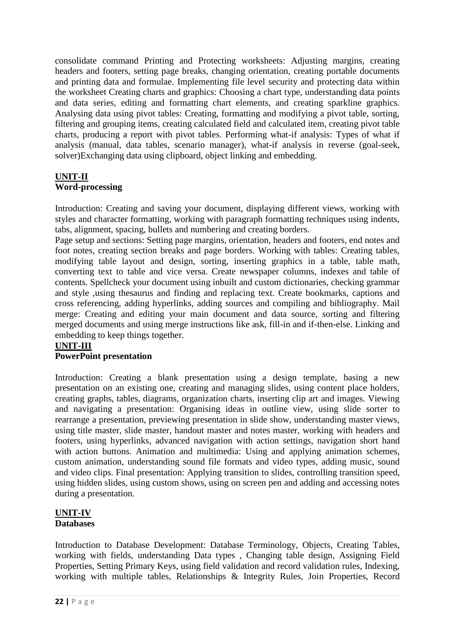consolidate command Printing and Protecting worksheets: Adjusting margins, creating headers and footers, setting page breaks, changing orientation, creating portable documents and printing data and formulae. Implementing file level security and protecting data within the worksheet Creating charts and graphics: Choosing a chart type, understanding data points and data series, editing and formatting chart elements, and creating sparkline graphics. Analysing data using pivot tables: Creating, formatting and modifying a pivot table, sorting, filtering and grouping items, creating calculated field and calculated item, creating pivot table charts, producing a report with pivot tables. Performing what-if analysis: Types of what if analysis (manual, data tables, scenario manager), what-if analysis in reverse (goal-seek, solver)Exchanging data using clipboard, object linking and embedding.

# **UNIT-II**

# **Word-processing**

Introduction: Creating and saving your document, displaying different views, working with styles and character formatting, working with paragraph formatting techniques using indents, tabs, alignment, spacing, bullets and numbering and creating borders.

Page setup and sections: Setting page margins, orientation, headers and footers, end notes and foot notes, creating section breaks and page borders. Working with tables: Creating tables, modifying table layout and design, sorting, inserting graphics in a table, table math, converting text to table and vice versa. Create newspaper columns, indexes and table of contents. Spellcheck your document using inbuilt and custom dictionaries, checking grammar and style ,using thesaurus and finding and replacing text. Create bookmarks, captions and cross referencing, adding hyperlinks, adding sources and compiling and bibliography. Mail merge: Creating and editing your main document and data source, sorting and filtering merged documents and using merge instructions like ask, fill-in and if-then-else. Linking and embedding to keep things together.

# **UNIT-III**

# **PowerPoint presentation**

Introduction: Creating a blank presentation using a design template, basing a new presentation on an existing one, creating and managing slides, using content place holders, creating graphs, tables, diagrams, organization charts, inserting clip art and images. Viewing and navigating a presentation: Organising ideas in outline view, using slide sorter to rearrange a presentation, previewing presentation in slide show, understanding master views, using title master, slide master, handout master and notes master, working with headers and footers, using hyperlinks, advanced navigation with action settings, navigation short hand with action buttons. Animation and multimedia: Using and applying animation schemes, custom animation, understanding sound file formats and video types, adding music, sound and video clips. Final presentation: Applying transition to slides, controlling transition speed, using hidden slides, using custom shows, using on screen pen and adding and accessing notes during a presentation.

# **UNIT-IV Databases**

Introduction to Database Development: Database Terminology, Objects, Creating Tables, working with fields, understanding Data types , Changing table design, Assigning Field Properties, Setting Primary Keys, using field validation and record validation rules, Indexing, working with multiple tables, Relationships & Integrity Rules, Join Properties, Record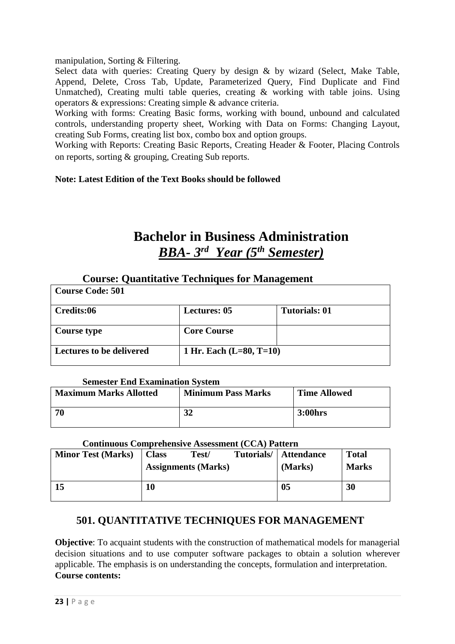# manipulation, Sorting & Filtering.

Select data with queries: Creating Query by design & by wizard (Select, Make Table, Append, Delete, Cross Tab, Update, Parameterized Query, Find Duplicate and Find Unmatched), Creating multi table queries, creating & working with table joins. Using operators & expressions: Creating simple & advance criteria.

Working with forms: Creating Basic forms, working with bound, unbound and calculated controls, understanding property sheet, Working with Data on Forms: Changing Layout, creating Sub Forms, creating list box, combo box and option groups.

Working with Reports: Creating Basic Reports, Creating Header & Footer, Placing Controls on reports, sorting & grouping, Creating Sub reports.

# **Note: Latest Edition of the Text Books should be followed**

# **Bachelor in Business Administration** *BBA- 3 rd Year (5 th Semester)*

# **Course: Quantitative Techniques for Management**

| <b>Course Code: 501</b>         |                           |                      |
|---------------------------------|---------------------------|----------------------|
| Credits:06                      | <b>Lectures: 05</b>       | <b>Tutorials: 01</b> |
| Course type                     | <b>Core Course</b>        |                      |
| <b>Lectures to be delivered</b> | 1 Hr. Each $(L=80, T=10)$ |                      |

#### **Semester End Examination System**

| <b>Maximum Marks Allotted</b> | <b>Minimum Pass Marks</b> | <b>Time Allowed</b> |
|-------------------------------|---------------------------|---------------------|
| -70                           | 21<br>ЭZ                  | 3:00hrs             |

#### **Continuous Comprehensive Assessment (CCA) Pattern**

| <b>Minor Test (Marks)</b> | <b>Class</b> | Test/<br><b>Assignments (Marks)</b> | Tutorials/ | <b>Attendance</b><br>(Marks) | <b>Total</b><br><b>Marks</b> |
|---------------------------|--------------|-------------------------------------|------------|------------------------------|------------------------------|
| 15                        | 10           |                                     |            | 0 <sub>5</sub>               | 30                           |

# **501. QUANTITATIVE TECHNIQUES FOR MANAGEMENT**

**Objective**: To acquaint students with the construction of mathematical models for managerial decision situations and to use computer software packages to obtain a solution wherever applicable. The emphasis is on understanding the concepts, formulation and interpretation. **Course contents:**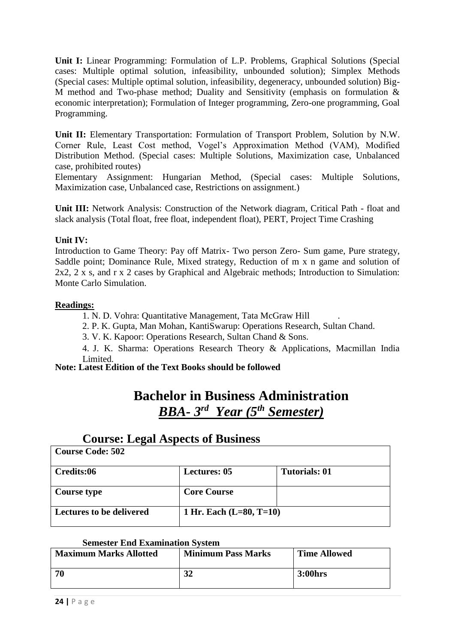**Unit I:** Linear Programming: Formulation of L.P. Problems, Graphical Solutions (Special cases: Multiple optimal solution, infeasibility, unbounded solution); Simplex Methods (Special cases: Multiple optimal solution, infeasibility, degeneracy, unbounded solution) Big-M method and Two-phase method; Duality and Sensitivity (emphasis on formulation & economic interpretation); Formulation of Integer programming, Zero-one programming, Goal Programming.

Unit II: Elementary Transportation: Formulation of Transport Problem, Solution by N.W. Corner Rule, Least Cost method, Vogel's Approximation Method (VAM), Modified Distribution Method. (Special cases: Multiple Solutions, Maximization case, Unbalanced case, prohibited routes)

Elementary Assignment: Hungarian Method, (Special cases: Multiple Solutions, Maximization case, Unbalanced case, Restrictions on assignment.)

**Unit III:** Network Analysis: Construction of the Network diagram, Critical Path - float and slack analysis (Total float, free float, independent float), PERT, Project Time Crashing

# **Unit IV:**

Introduction to Game Theory: Pay off Matrix- Two person Zero- Sum game, Pure strategy, Saddle point; Dominance Rule, Mixed strategy, Reduction of m x n game and solution of 2x2, 2 x s, and r x 2 cases by Graphical and Algebraic methods; Introduction to Simulation: Monte Carlo Simulation.

# **Readings:**

1. N. D. Vohra: Quantitative Management, Tata McGraw Hill .

2. P. K. Gupta, Man Mohan, KantiSwarup: Operations Research, Sultan Chand.

3. V. K. Kapoor: Operations Research, Sultan Chand & Sons.

4. J. K. Sharma: Operations Research Theory & Applications, Macmillan India Limited.

# **Note: Latest Edition of the Text Books should be followed**

# **Bachelor in Business Administration** *BBA- 3 rd Year (5 th Semester)*

# **Course: Legal Aspects of Business**

| <b>Course Code: 502</b>         |                           |                      |
|---------------------------------|---------------------------|----------------------|
| Credits:06                      | <b>Lectures: 05</b>       | <b>Tutorials: 01</b> |
| <b>Course type</b>              | <b>Core Course</b>        |                      |
| <b>Lectures to be delivered</b> | 1 Hr. Each $(L=80, T=10)$ |                      |

#### **Semester End Examination System**

| <b>Maximum Marks Allotted</b> | <b>Minimum Pass Marks</b> | <b>Time Allowed</b> |
|-------------------------------|---------------------------|---------------------|
| 70                            | 32                        | 3:00hrs             |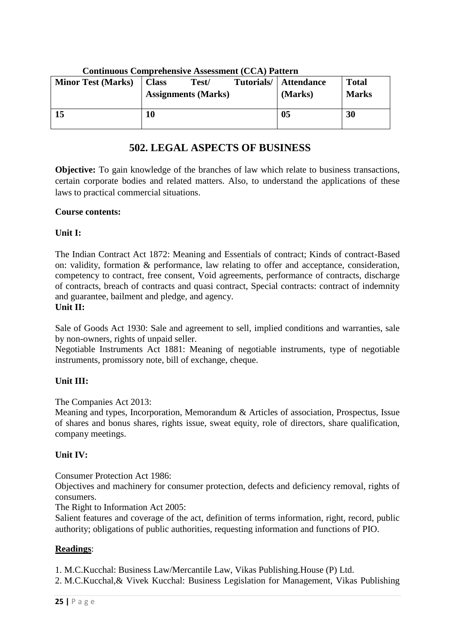|                           | Continuous Complements Assessment (CCA) I attein |                            |            |                   |              |  |  |
|---------------------------|--------------------------------------------------|----------------------------|------------|-------------------|--------------|--|--|
| <b>Minor Test (Marks)</b> | <b>Class</b>                                     | Test/                      | Tutorials/ | <b>Attendance</b> | <b>Total</b> |  |  |
|                           |                                                  | <b>Assignments (Marks)</b> |            | (Marks)           | <b>Marks</b> |  |  |
| 15                        | 10                                               |                            |            | 0 <sub>5</sub>    | 30           |  |  |

#### **Continuous Comprehensive Assessment (CCA) Pattern**

# **502. LEGAL ASPECTS OF BUSINESS**

**Objective:** To gain knowledge of the branches of law which relate to business transactions, certain corporate bodies and related matters. Also, to understand the applications of these laws to practical commercial situations.

# **Course contents:**

# **Unit I:**

The Indian Contract Act 1872: Meaning and Essentials of contract; Kinds of contract-Based on: validity, formation & performance, law relating to offer and acceptance, consideration, competency to contract, free consent, Void agreements, performance of contracts, discharge of contracts, breach of contracts and quasi contract, Special contracts: contract of indemnity and guarantee, bailment and pledge, and agency. **Unit II:**

Sale of Goods Act 1930: Sale and agreement to sell, implied conditions and warranties, sale by non-owners, rights of unpaid seller.

Negotiable Instruments Act 1881: Meaning of negotiable instruments, type of negotiable instruments, promissory note, bill of exchange, cheque.

# **Unit III:**

The Companies Act 2013:

Meaning and types, Incorporation, Memorandum & Articles of association, Prospectus, Issue of shares and bonus shares, rights issue, sweat equity, role of directors, share qualification, company meetings.

# **Unit IV:**

Consumer Protection Act 1986:

Objectives and machinery for consumer protection, defects and deficiency removal, rights of consumers.

The Right to Information Act 2005:

Salient features and coverage of the act, definition of terms information, right, record, public authority; obligations of public authorities, requesting information and functions of PIO.

# **Readings**:

1. M.C.Kucchal: Business Law/Mercantile Law, Vikas Publishing.House (P) Ltd.

2. M.C.Kucchal,& Vivek Kucchal: Business Legislation for Management, Vikas Publishing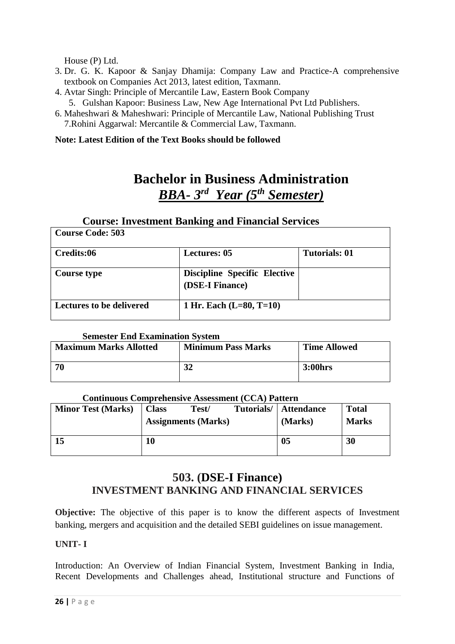House (P) Ltd.

**Course Code: 503**

- 3. Dr. G. K. Kapoor & Sanjay Dhamija: Company Law and Practice-A comprehensive textbook on Companies Act 2013, latest edition, Taxmann.
- 4. Avtar Singh: Principle of Mercantile Law, Eastern Book Company 5. Gulshan Kapoor: Business Law, New Age International Pvt Ltd Publishers.
- 6. Maheshwari & Maheshwari: Principle of Mercantile Law, National Publishing Trust 7.Rohini Aggarwal: Mercantile & Commercial Law, Taxmann.

#### **Note: Latest Edition of the Text Books should be followed**

# **Bachelor in Business Administration** *BBA- 3 rd Year (5 th Semester)*

٦

#### **Course: Investment Banking and Financial Services**

| Course Coue, JoJ                |                                                        |                      |
|---------------------------------|--------------------------------------------------------|----------------------|
| Credits:06                      | <b>Lectures: 05</b>                                    | <b>Tutorials: 01</b> |
| <b>Course type</b>              | <b>Discipline Specific Elective</b><br>(DSE-I Finance) |                      |
| <b>Lectures to be delivered</b> | 1 Hr. Each $(L=80, T=10)$                              |                      |

#### **Semester End Examination System**

| <b>Maximum Marks Allotted</b> | <b>Minimum Pass Marks</b> | <b>Time Allowed</b> |
|-------------------------------|---------------------------|---------------------|
| 70                            | 21<br>34                  | 3:00hrs             |

#### **Continuous Comprehensive Assessment (CCA) Pattern**

| <b>Minor Test (Marks)</b> | <b>Class</b> | Test/<br><b>Assignments (Marks)</b> | Tutorials/ | <b>Attendance</b><br>(Marks) | <b>Total</b><br><b>Marks</b> |
|---------------------------|--------------|-------------------------------------|------------|------------------------------|------------------------------|
| 15                        | 10           |                                     |            | 05                           | 30                           |

# **503. (DSE-I Finance) INVESTMENT BANKING AND FINANCIAL SERVICES**

**Objective:** The objective of this paper is to know the different aspects of Investment banking, mergers and acquisition and the detailed SEBI guidelines on issue management.

# **UNIT- I**

Introduction: An Overview of Indian Financial System, Investment Banking in India, Recent Developments and Challenges ahead, Institutional structure and Functions of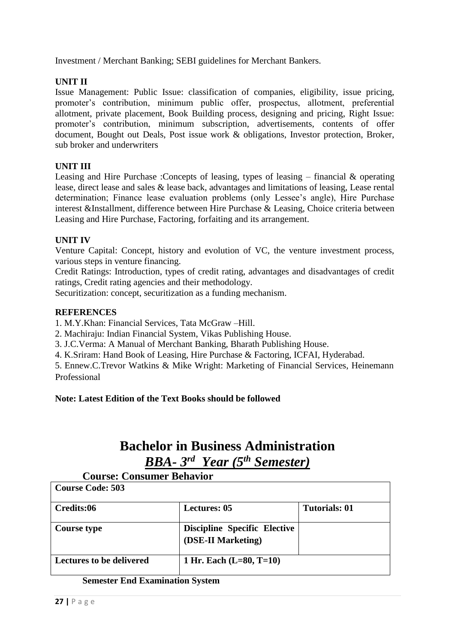Investment / Merchant Banking; SEBI guidelines for Merchant Bankers.

# **UNIT II**

Issue Management: Public Issue: classification of companies, eligibility, issue pricing, promoter's contribution, minimum public offer, prospectus, allotment, preferential allotment, private placement, Book Building process, designing and pricing, Right Issue: promoter's contribution, minimum subscription, advertisements, contents of offer document, Bought out Deals, Post issue work & obligations, Investor protection, Broker, sub broker and underwriters

# **UNIT III**

Leasing and Hire Purchase :Concepts of leasing, types of leasing – financial & operating lease, direct lease and sales & lease back, advantages and limitations of leasing, Lease rental determination; Finance lease evaluation problems (only Lessee's angle), Hire Purchase interest &Installment, difference between Hire Purchase & Leasing, Choice criteria between Leasing and Hire Purchase, Factoring, forfaiting and its arrangement.

# **UNIT IV**

Venture Capital: Concept, history and evolution of VC, the venture investment process, various steps in venture financing.

Credit Ratings: Introduction, types of credit rating, advantages and disadvantages of credit ratings, Credit rating agencies and their methodology.

Securitization: concept, securitization as a funding mechanism.

#### **REFERENCES**

1. M.Y.Khan: Financial Services, Tata McGraw –Hill.

- 2. Machiraju: Indian Financial System, Vikas Publishing House.
- 3. J.C.Verma: A Manual of Merchant Banking, Bharath Publishing House.
- 4. K.Sriram: Hand Book of Leasing, Hire Purchase & Factoring, ICFAI, Hyderabad.

5. Ennew.C.Trevor Watkins & Mike Wright: Marketing of Financial Services, Heinemann Professional

# **Note: Latest Edition of the Text Books should be followed**

# **Bachelor in Business Administration** *BBA- 3 rd Year (5th Semester)*

#### **Course: Consumer Behavior Course Code: 503**

| Credits:06                      | <b>Lectures: 05</b>                                       | <b>Tutorials: 01</b> |
|---------------------------------|-----------------------------------------------------------|----------------------|
| Course type                     | <b>Discipline Specific Elective</b><br>(DSE-II Marketing) |                      |
| <b>Lectures to be delivered</b> | 1 Hr. Each $(L=80, T=10)$                                 |                      |

#### **Semester End Examination System**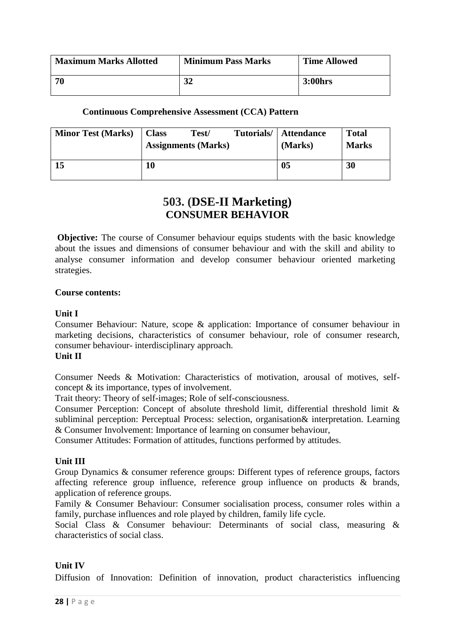| <b>Maximum Marks Allotted</b> | <b>Minimum Pass Marks</b> | <b>Time Allowed</b> |
|-------------------------------|---------------------------|---------------------|
| -70                           | 32                        | 3:00hrs             |

### **Continuous Comprehensive Assessment (CCA) Pattern**

| <b>Minor Test (Marks)</b> | <b>Class</b> | Test/<br><b>Assignments (Marks)</b> | Tutorials/ | Attendance<br>(Marks) | <b>Total</b><br><b>Marks</b> |
|---------------------------|--------------|-------------------------------------|------------|-----------------------|------------------------------|
| 15                        | 10           |                                     |            | 05                    | 30                           |

# **503. (DSE-II Marketing) CONSUMER BEHAVIOR**

**Objective:** The course of Consumer behaviour equips students with the basic knowledge about the issues and dimensions of consumer behaviour and with the skill and ability to analyse consumer information and develop consumer behaviour oriented marketing strategies.

#### **Course contents:**

#### **Unit I**

Consumer Behaviour: Nature, scope & application: Importance of consumer behaviour in marketing decisions, characteristics of consumer behaviour, role of consumer research, consumer behaviour- interdisciplinary approach.

# **Unit II**

Consumer Needs & Motivation: Characteristics of motivation, arousal of motives, selfconcept & its importance, types of involvement.

Trait theory: Theory of self-images; Role of self-consciousness.

Consumer Perception: Concept of absolute threshold limit, differential threshold limit & subliminal perception: Perceptual Process: selection, organisation& interpretation. Learning & Consumer Involvement: Importance of learning on consumer behaviour,

Consumer Attitudes: Formation of attitudes, functions performed by attitudes.

#### **Unit III**

Group Dynamics & consumer reference groups: Different types of reference groups, factors affecting reference group influence, reference group influence on products & brands, application of reference groups.

Family & Consumer Behaviour: Consumer socialisation process, consumer roles within a family, purchase influences and role played by children, family life cycle.

Social Class & Consumer behaviour: Determinants of social class, measuring & characteristics of social class.

#### **Unit IV**

Diffusion of Innovation: Definition of innovation, product characteristics influencing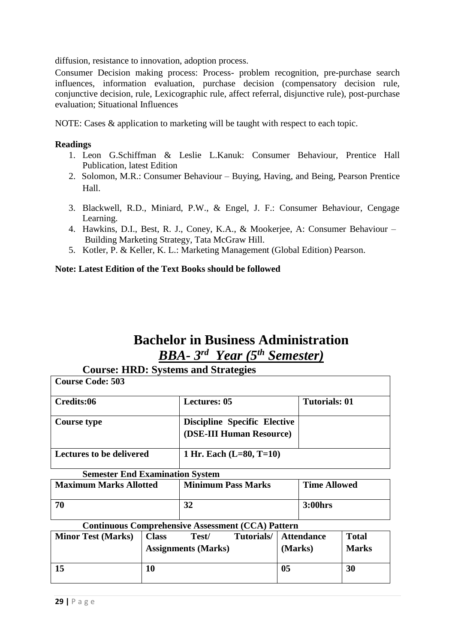diffusion, resistance to innovation, adoption process.

Consumer Decision making process: Process- problem recognition, pre-purchase search influences, information evaluation, purchase decision (compensatory decision rule, conjunctive decision, rule, Lexicographic rule, affect referral, disjunctive rule), post-purchase evaluation; Situational Influences

NOTE: Cases & application to marketing will be taught with respect to each topic.

#### **Readings**

- 1. Leon G.Schiffman & Leslie L.Kanuk: Consumer Behaviour, Prentice Hall Publication, latest Edition
- 2. Solomon, M.R.: Consumer Behaviour Buying, Having, and Being, Pearson Prentice Hall.
- 3. Blackwell, R.D., Miniard, P.W., & Engel, J. F.: Consumer Behaviour, Cengage Learning.
- 4. Hawkins, D.I., Best, R. J., Coney, K.A., & Mookerjee, A: Consumer Behaviour Building Marketing Strategy, Tata McGraw Hill.
- 5. Kotler, P. & Keller, K. L.: Marketing Management (Global Edition) Pearson.

#### **Note: Latest Edition of the Text Books should be followed**

# **Bachelor in Business Administration** *BBA- 3 rd Year (5 th Semester)*

#### **Course: HRD: Systems and Strategies Course Code: 503**

| Course Code: 505                |                                                                 |                      |
|---------------------------------|-----------------------------------------------------------------|----------------------|
| Credits:06                      | <b>Lectures: 05</b>                                             | <b>Tutorials: 01</b> |
| Course type                     | <b>Discipline Specific Elective</b><br>(DSE-III Human Resource) |                      |
| <b>Lectures to be delivered</b> | 1 Hr. Each $(L=80, T=10)$                                       |                      |

# **Semester End Examination System**

| <b>Maximum Marks Allotted</b> | <b>Minimum Pass Marks</b> | <b>Time Allowed</b> |
|-------------------------------|---------------------------|---------------------|
| 70                            | 32                        | 3:00hrs             |

#### **Continuous Comprehensive Assessment (CCA) Pattern**

| <b>Minor Test (Marks)</b> | <b>Class</b> | Test/<br><b>Assignments (Marks)</b> | Tutorials/ | <b>Attendance</b><br>(Marks) | <b>Total</b><br><b>Marks</b> |
|---------------------------|--------------|-------------------------------------|------------|------------------------------|------------------------------|
| 15                        | 10           |                                     |            | 05                           | 30                           |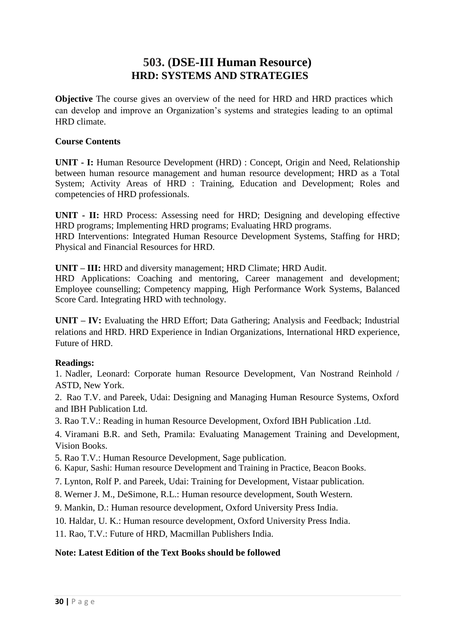# **503. (DSE-III Human Resource) HRD: SYSTEMS AND STRATEGIES**

**Objective** The course gives an overview of the need for HRD and HRD practices which can develop and improve an Organization's systems and strategies leading to an optimal HRD climate.

### **Course Contents**

**UNIT - I:** Human Resource Development (HRD) : Concept, Origin and Need, Relationship between human resource management and human resource development; HRD as a Total System; Activity Areas of HRD : Training, Education and Development; Roles and competencies of HRD professionals.

**UNIT - II:** HRD Process: Assessing need for HRD; Designing and developing effective HRD programs; Implementing HRD programs; Evaluating HRD programs. HRD Interventions: Integrated Human Resource Development Systems, Staffing for HRD; Physical and Financial Resources for HRD.

**UNIT – III:** HRD and diversity management; HRD Climate; HRD Audit.

HRD Applications: Coaching and mentoring, Career management and development; Employee counselling; Competency mapping, High Performance Work Systems, Balanced Score Card. Integrating HRD with technology.

**UNIT – IV:** Evaluating the HRD Effort; Data Gathering; Analysis and Feedback; Industrial relations and HRD. HRD Experience in Indian Organizations, International HRD experience, Future of HRD.

#### **Readings:**

1. Nadler, Leonard: Corporate human Resource Development, Van Nostrand Reinhold / ASTD, New York.

2. Rao T.V. and Pareek, Udai: Designing and Managing Human Resource Systems, Oxford and IBH Publication Ltd.

3. Rao T.V.: Reading in human Resource Development, Oxford IBH Publication .Ltd.

4. Viramani B.R. and Seth, Pramila: Evaluating Management Training and Development, Vision Books.

- 5. Rao T.V.: Human Resource Development, Sage publication.
- 6. Kapur, Sashi: Human resource Development and Training in Practice, Beacon Books.
- 7. Lynton, Rolf P. and Pareek, Udai: Training for Development, Vistaar publication.
- 8. Werner J. M., DeSimone, R.L.: Human resource development, South Western.
- 9. Mankin, D.: Human resource development, Oxford University Press India.
- 10. Haldar, U. K.: Human resource development, Oxford University Press India.
- 11. Rao, T.V.: Future of HRD, Macmillan Publishers India.

# **Note: Latest Edition of the Text Books should be followed**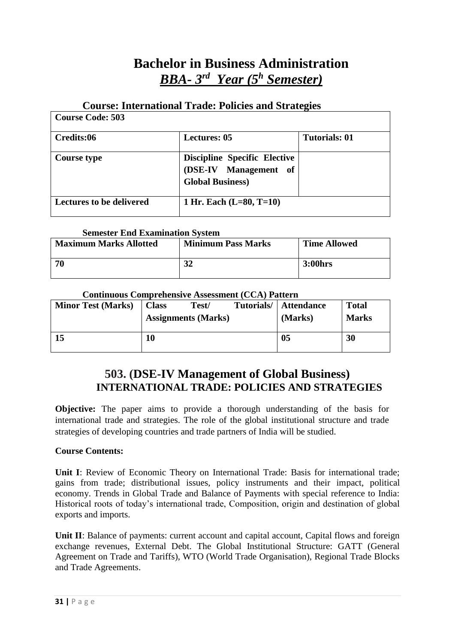# **Bachelor in Business Administration** *BBA- 3 rd Year (5 <sup>h</sup> Semester)*

# **Course: International Trade: Policies and Strategies**

| <b>Course Code: 503</b>         |                                                                                         |                      |
|---------------------------------|-----------------------------------------------------------------------------------------|----------------------|
| Credits:06                      | <b>Lectures: 05</b>                                                                     | <b>Tutorials: 01</b> |
| Course type                     | <b>Discipline Specific Elective</b><br>(DSE-IV Management of<br><b>Global Business)</b> |                      |
| <b>Lectures to be delivered</b> | 1 Hr. Each $(L=80, T=10)$                                                               |                      |

# **Semester End Examination System**

| <b>Maximum Marks Allotted</b> | <b>Minimum Pass Marks</b> | <b>Time Allowed</b> |  |  |
|-------------------------------|---------------------------|---------------------|--|--|
| 70                            | ኅኅ                        | 3:00hrs             |  |  |

#### **Continuous Comprehensive Assessment (CCA) Pattern**

| <b>Minor Test (Marks)</b> | <b>Class</b><br><b>Assignments (Marks)</b> | Test/ | Tutorials/ | <b>Attendance</b><br>(Marks) | <b>Total</b><br><b>Marks</b> |
|---------------------------|--------------------------------------------|-------|------------|------------------------------|------------------------------|
| 15                        | 10                                         |       |            | 05                           | 30                           |

# **503. (DSE-IV Management of Global Business) INTERNATIONAL TRADE: POLICIES AND STRATEGIES**

**Objective:** The paper aims to provide a thorough understanding of the basis for international trade and strategies. The role of the global institutional structure and trade strategies of developing countries and trade partners of India will be studied.

# **Course Contents:**

**Unit I**: Review of Economic Theory on International Trade: Basis for international trade; gains from trade; distributional issues, policy instruments and their impact, political economy. Trends in Global Trade and Balance of Payments with special reference to India: Historical roots of today's international trade, Composition, origin and destination of global exports and imports.

Unit II: Balance of payments: current account and capital account, Capital flows and foreign exchange revenues, External Debt. The Global Institutional Structure: GATT (General Agreement on Trade and Tariffs), WTO (World Trade Organisation), Regional Trade Blocks and Trade Agreements.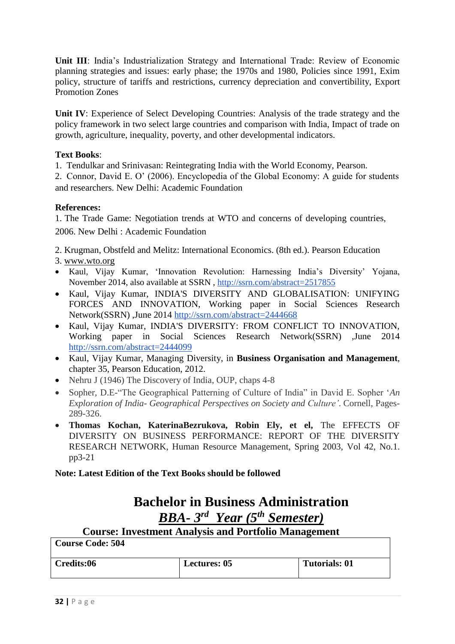**Unit III**: India's Industrialization Strategy and International Trade: Review of Economic planning strategies and issues: early phase; the 1970s and 1980, Policies since 1991, Exim policy, structure of tariffs and restrictions, currency depreciation and convertibility, Export Promotion Zones

**Unit IV**: Experience of Select Developing Countries: Analysis of the trade strategy and the policy framework in two select large countries and comparison with India, Impact of trade on growth, agriculture, inequality, poverty, and other developmental indicators.

# **Text Books**:

1. Tendulkar and Srinivasan: Reintegrating India with the World Economy, Pearson.

2. Connor, David E. O' (2006). Encyclopedia of the Global Economy: A guide for students and researchers. New Delhi: Academic Foundation

# **References:**

1. The Trade Game: Negotiation trends at WTO and concerns of developing countries,

2006. New Delhi : Academic Foundation

2. Krugman, Obstfeld and Melitz: International Economics. (8th ed.). Pearson Education

- 3. www.wto.org
- Kaul, Vijay Kumar, 'Innovation Revolution: Harnessing India's Diversity' Yojana, November 2014, also available at SSRN , http://ssrn.com/abstract=2517855
- Kaul, Vijay Kumar, INDIA'S DIVERSITY AND GLOBALISATION: UNIFYING FORCES AND INNOVATION, Working paper in Social Sciences Research Network(SSRN) ,June 2014 http://ssrn.com/abstract=2444668
- Kaul, Vijay Kumar, INDIA'S DIVERSITY: FROM CONFLICT TO INNOVATION, Working paper in Social Sciences Research Network(SSRN) ,June 2014 http://ssrn.com/abstract=2444099
- Kaul, Vijay Kumar, Managing Diversity, in **Business Organisation and Management**, chapter 35, Pearson Education, 2012.
- Nehru J (1946) The Discovery of India, OUP, chaps 4-8
- Sopher, D.E-"The Geographical Patterning of Culture of India" in David E. Sopher '*An Exploration of India- Geographical Perspectives on Society and Culture'*. Cornell, Pages-289-326.
- **Thomas Kochan, KaterinaBezrukova, Robin Ely, et el,** The EFFECTS OF DIVERSITY ON BUSINESS PERFORMANCE: REPORT OF THE DIVERSITY RESEARCH NETWORK, Human Resource Management, Spring 2003, Vol 42, No.1. pp3-21

# **Note: Latest Edition of the Text Books should be followed**

# **Bachelor in Business Administration** *BBA- 3 rd Year (5 th Semester)*

**Course: Investment Analysis and Portfolio Management Course Code: 504**

| -COULSE COUE. JUT |                     |                      |
|-------------------|---------------------|----------------------|
| Credits:06        | <b>Lectures: 05</b> | <b>Tutorials: 01</b> |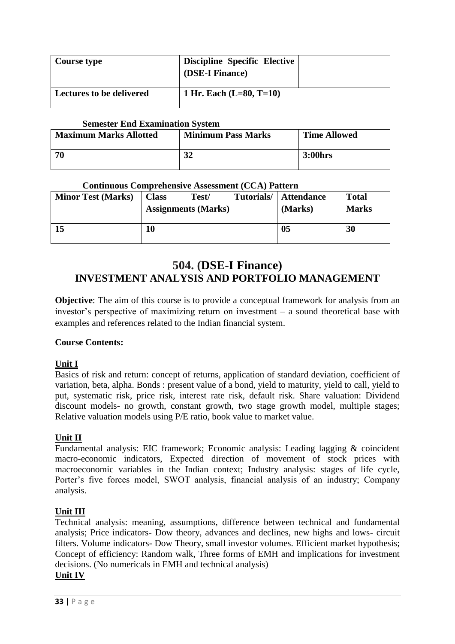| Course type                     | Discipline Specific Elective<br>(DSE-I Finance) |  |
|---------------------------------|-------------------------------------------------|--|
| <b>Lectures to be delivered</b> | 1 Hr. Each $(L=80, T=10)$                       |  |

### **Semester End Examination System**

| <b>Maximum Marks Allotted</b> | <b>Minimum Pass Marks</b> | <b>Time Allowed</b> |
|-------------------------------|---------------------------|---------------------|
| 70                            | 20                        | 3:00hrs             |

#### **Continuous Comprehensive Assessment (CCA) Pattern**

| <b>Minor Test (Marks)</b> | <b>Class</b> | Test/<br><b>Assignments (Marks)</b> | Tutorials/ | <b>Attendance</b><br>(Marks) | <b>Total</b><br><b>Marks</b> |
|---------------------------|--------------|-------------------------------------|------------|------------------------------|------------------------------|
| 15                        | 10           |                                     |            | 0 <sub>5</sub>               | 30                           |

# **504. (DSE-I Finance) INVESTMENT ANALYSIS AND PORTFOLIO MANAGEMENT**

**Objective**: The aim of this course is to provide a conceptual framework for analysis from an investor's perspective of maximizing return on investment – a sound theoretical base with examples and references related to the Indian financial system.

# **Course Contents:**

# **Unit I**

Basics of risk and return: concept of returns, application of standard deviation, coefficient of variation, beta, alpha. Bonds : present value of a bond, yield to maturity, yield to call, yield to put, systematic risk, price risk, interest rate risk, default risk. Share valuation: Dividend discount models- no growth, constant growth, two stage growth model, multiple stages; Relative valuation models using P/E ratio, book value to market value.

# **Unit II**

Fundamental analysis: EIC framework; Economic analysis: Leading lagging & coincident macro-economic indicators, Expected direction of movement of stock prices with macroeconomic variables in the Indian context; Industry analysis: stages of life cycle, Porter's five forces model, SWOT analysis, financial analysis of an industry; Company analysis.

# **Unit III**

Technical analysis: meaning, assumptions, difference between technical and fundamental analysis; Price indicators- Dow theory, advances and declines, new highs and lows- circuit filters. Volume indicators- Dow Theory, small investor volumes. Efficient market hypothesis; Concept of efficiency: Random walk, Three forms of EMH and implications for investment decisions. (No numericals in EMH and technical analysis) **Unit IV**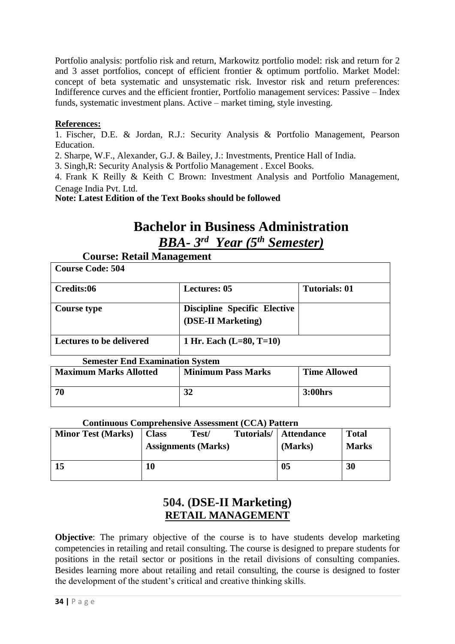Portfolio analysis: portfolio risk and return, Markowitz portfolio model: risk and return for 2 and 3 asset portfolios, concept of efficient frontier & optimum portfolio. Market Model: concept of beta systematic and unsystematic risk. Investor risk and return preferences: Indifference curves and the efficient frontier, Portfolio management services: Passive – Index funds, systematic investment plans. Active – market timing, style investing.

# **References:**

1. Fischer, D.E. & Jordan, R.J.: Security Analysis & Portfolio Management, Pearson Education.

2. Sharpe, W.F., Alexander, G.J. & Bailey, J.: Investments, Prentice Hall of India.

3. Singh,R: Security Analysis & Portfolio Management . Excel Books.

4. Frank K Reilly & Keith C Brown: Investment Analysis and Portfolio Management, Cenage India Pvt. Ltd.

**Note: Latest Edition of the Text Books should be followed**

# **Bachelor in Business Administration** *BBA- 3 rd Year (5 th Semester)*

**Course: Retail Management Course Code: 504**

| Course Code: 504                |                                                           |                      |
|---------------------------------|-----------------------------------------------------------|----------------------|
| Credits:06                      | <b>Lectures: 05</b>                                       | <b>Tutorials: 01</b> |
| <b>Course type</b>              | <b>Discipline Specific Elective</b><br>(DSE-II Marketing) |                      |
| <b>Lectures to be delivered</b> | 1 Hr. Each $(L=80, T=10)$                                 |                      |

**Semester End Examination System**

| <b>Maximum Marks Allotted</b> | <b>Minimum Pass Marks</b> | <b>Time Allowed</b> |  |  |  |
|-------------------------------|---------------------------|---------------------|--|--|--|
| -70                           | 32                        | <b>3:00hrs</b>      |  |  |  |

# **Continuous Comprehensive Assessment (CCA) Pattern**

| <b>Minor Test (Marks)</b> | <b>Class</b> | Test/<br><b>Assignments (Marks)</b> | Tutorials/ | Attendance<br>(Marks) | <b>Total</b><br><b>Marks</b> |
|---------------------------|--------------|-------------------------------------|------------|-----------------------|------------------------------|
| 15                        | 10           |                                     |            | 05                    | 30                           |

# **504. (DSE-II Marketing) RETAIL MANAGEMENT**

**Objective**: The primary objective of the course is to have students develop marketing competencies in retailing and retail consulting. The course is designed to prepare students for positions in the retail sector or positions in the retail divisions of consulting companies. Besides learning more about retailing and retail consulting, the course is designed to foster the development of the student's critical and creative thinking skills.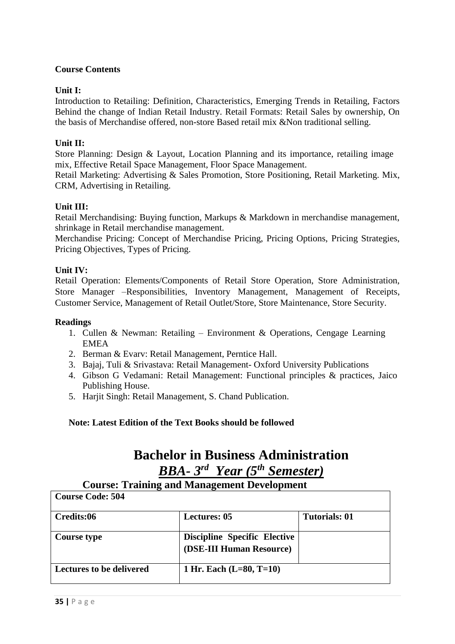# **Course Contents**

#### **Unit I:**

Introduction to Retailing: Definition, Characteristics, Emerging Trends in Retailing, Factors Behind the change of Indian Retail Industry. Retail Formats: Retail Sales by ownership, On the basis of Merchandise offered, non-store Based retail mix & Non traditional selling.

#### **Unit II:**

Store Planning: Design & Layout, Location Planning and its importance, retailing image mix, Effective Retail Space Management, Floor Space Management.

Retail Marketing: Advertising & Sales Promotion, Store Positioning, Retail Marketing. Mix, CRM, Advertising in Retailing.

#### **Unit III:**

Retail Merchandising: Buying function, Markups & Markdown in merchandise management, shrinkage in Retail merchandise management.

Merchandise Pricing: Concept of Merchandise Pricing, Pricing Options, Pricing Strategies, Pricing Objectives, Types of Pricing.

#### **Unit IV:**

Retail Operation: Elements/Components of Retail Store Operation, Store Administration, Store Manager –Responsibilities, Inventory Management, Management of Receipts, Customer Service, Management of Retail Outlet/Store, Store Maintenance, Store Security.

#### **Readings**

- 1. Cullen & Newman: Retailing Environment & Operations, Cengage Learning EMEA
- 2. Berman & Evarv: Retail Management, Perntice Hall.
- 3. Bajaj, Tuli & Srivastava: Retail Management- Oxford University Publications
- 4. Gibson G Vedamani: Retail Management: Functional principles & practices, Jaico Publishing House.
- 5. Harjit Singh: Retail Management, S. Chand Publication.

**Note: Latest Edition of the Text Books should be followed**

# **Bachelor in Business Administration** *BBA- 3 rd Year (5 th Semester)*

#### **Course: Training and Management Development Course Code: 504**

| CUULSE CUUC. JUT                |                                                                 |               |
|---------------------------------|-----------------------------------------------------------------|---------------|
| Credits:06                      | <b>Lectures: 05</b>                                             | Tutorials: 01 |
| <b>Course type</b>              | <b>Discipline Specific Elective</b><br>(DSE-III Human Resource) |               |
| <b>Lectures to be delivered</b> | 1 Hr. Each $(L=80, T=10)$                                       |               |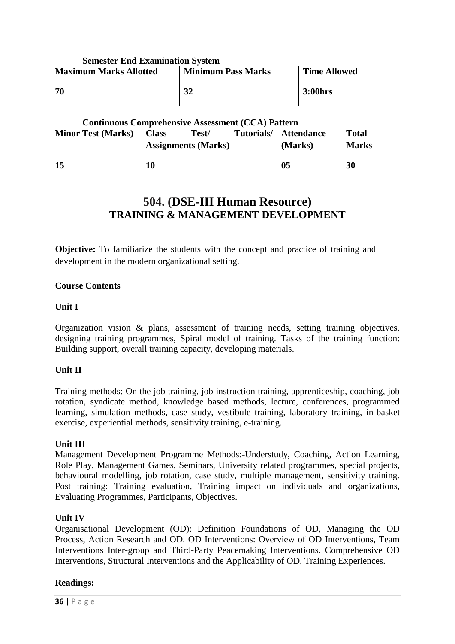#### **Semester End Examination System**

| <b>Maximum Marks Allotted</b> | <b>Minimum Pass Marks</b> | <b>Time Allowed</b> |
|-------------------------------|---------------------------|---------------------|
| 70                            | 21                        | 3:00hrs             |

### **Continuous Comprehensive Assessment (CCA) Pattern**

| <b>Minor Test (Marks)</b> | <b>Class</b> | Test/<br><b>Assignments (Marks)</b> | Tutorials/ | <b>Attendance</b><br>(Marks) | <b>Total</b><br><b>Marks</b> |
|---------------------------|--------------|-------------------------------------|------------|------------------------------|------------------------------|
| 15                        | 10           |                                     |            | 0 <sub>5</sub>               | 30                           |

# **504. (DSE-III Human Resource) TRAINING & MANAGEMENT DEVELOPMENT**

**Objective:** To familiarize the students with the concept and practice of training and development in the modern organizational setting.

#### **Course Contents**

#### **Unit I**

Organization vision & plans, assessment of training needs, setting training objectives, designing training programmes, Spiral model of training. Tasks of the training function: Building support, overall training capacity, developing materials.

# **Unit II**

Training methods: On the job training, job instruction training, apprenticeship, coaching, job rotation, syndicate method, knowledge based methods, lecture, conferences, programmed learning, simulation methods, case study, vestibule training, laboratory training, in-basket exercise, experiential methods, sensitivity training, e-training.

# **Unit III**

Management Development Programme Methods:-Understudy, Coaching, Action Learning, Role Play, Management Games, Seminars, University related programmes, special projects, behavioural modelling, job rotation, case study, multiple management, sensitivity training. Post training: Training evaluation, Training impact on individuals and organizations, Evaluating Programmes, Participants, Objectives.

# **Unit IV**

Organisational Development (OD): Definition Foundations of OD, Managing the OD Process, Action Research and OD. OD Interventions: Overview of OD Interventions, Team Interventions Inter-group and Third-Party Peacemaking Interventions. Comprehensive OD Interventions, Structural Interventions and the Applicability of OD, Training Experiences.

#### **Readings:**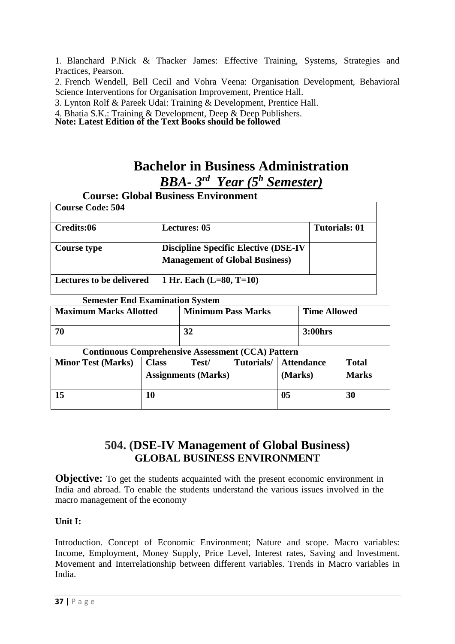1. Blanchard P.Nick & Thacker James: Effective Training, Systems, Strategies and Practices, Pearson.

2. French Wendell, Bell Cecil and Vohra Veena: Organisation Development, Behavioral Science Interventions for Organisation Improvement, Prentice Hall.

3. Lynton Rolf & Pareek Udai: Training & Development, Prentice Hall.

4. Bhatia S.K.: Training & Development, Deep & Deep Publishers.

**Note: Latest Edition of the Text Books should be followed**

# **Bachelor in Business Administration** *BBA- 3 rd Year (5 <sup>h</sup> Semester)*

|                                        | <b>Course: Global Business Environment</b>                                            |                      |
|----------------------------------------|---------------------------------------------------------------------------------------|----------------------|
| <b>Course Code: 504</b>                |                                                                                       |                      |
| Credits:06                             | <b>Lectures: 05</b>                                                                   | <b>Tutorials: 01</b> |
| Course type                            | <b>Discipline Specific Elective (DSE-IV)</b><br><b>Management of Global Business)</b> |                      |
| <b>Lectures to be delivered</b>        | 1 Hr. Each $(L=80, T=10)$                                                             |                      |
| <b>Semester End Examination System</b> |                                                                                       |                      |
| <b>Maximum Marks Allotted</b>          | <b>Minimum Pass Marks</b>                                                             | <b>Time Allowed</b>  |
| 70                                     | 32                                                                                    | $3:00$ hrs           |

#### **Continuous Comprehensive Assessment (CCA) Pattern**

| <b>Minor Test (Marks)</b> | <b>Class</b> | Test/<br><b>Assignments (Marks)</b> | Tutorials/ | <b>Attendance</b><br>(Marks) | <b>Total</b><br><b>Marks</b> |
|---------------------------|--------------|-------------------------------------|------------|------------------------------|------------------------------|
| 15                        | 10           |                                     |            | 0 <sub>5</sub>               | 30                           |

# **504. (DSE-IV Management of Global Business) GLOBAL BUSINESS ENVIRONMENT**

**Objective:** To get the students acquainted with the present economic environment in India and abroad. To enable the students understand the various issues involved in the macro management of the economy

# **Unit I:**

Introduction. Concept of Economic Environment; Nature and scope. Macro variables: Income, Employment, Money Supply, Price Level, Interest rates, Saving and Investment. Movement and Interrelationship between different variables. Trends in Macro variables in India.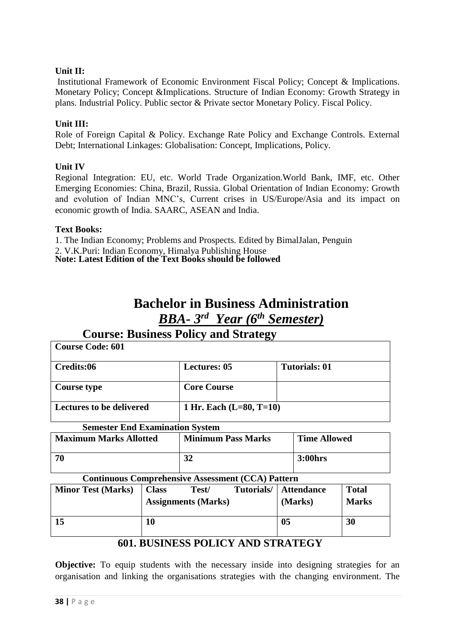# **Unit II:**

Institutional Framework of Economic Environment Fiscal Policy; Concept & Implications. Monetary Policy; Concept &Implications. Structure of Indian Economy: Growth Strategy in plans. Industrial Policy. Public sector & Private sector Monetary Policy. Fiscal Policy.

#### **Unit III:**

Role of Foreign Capital & Policy. Exchange Rate Policy and Exchange Controls. External Debt; International Linkages: Globalisation: Concept, Implications, Policy.

#### **Unit IV**

Regional Integration: EU, etc. World Trade Organization.World Bank, IMF, etc. Other Emerging Economies: China, Brazil, Russia. Global Orientation of Indian Economy: Growth and evolution of Indian MNC's, Current crises in US/Europe/Asia and its impact on economic growth of India. SAARC, ASEAN and India.

#### **Text Books:**

1. The Indian Economy; Problems and Prospects. Edited by BimalJalan, Penguin 2. V.K.Puri: Indian Economy, Himalya Publishing House **Note: Latest Edition of the Text Books should be followed**

# **Bachelor in Business Administration** *BBA- 3 rd Year (6 th Semester)*

| <b>Course: Business Policy and Strategy</b> |                           |                      |  |  |
|---------------------------------------------|---------------------------|----------------------|--|--|
| <b>Course Code: 601</b>                     |                           |                      |  |  |
| Credits:06                                  | <b>Lectures: 05</b>       | <b>Tutorials: 01</b> |  |  |
| Course type                                 | <b>Core Course</b>        |                      |  |  |
| <b>Lectures to be delivered</b>             | 1 Hr. Each $(L=80, T=10)$ |                      |  |  |
| <b>Semester End Examination System</b>      |                           |                      |  |  |

| <b>Maximum Marks Allotted</b> | <b>Minimum Pass Marks</b> | <b>Time Allowed</b> |
|-------------------------------|---------------------------|---------------------|
| -70                           |                           | 3:00hrs             |

**Continuous Comprehensive Assessment (CCA) Pattern**

| <u>Convinction Connective Convinctive Laddedunite (Collier Autorini</u> |              |                                     |            |                              |                              |
|-------------------------------------------------------------------------|--------------|-------------------------------------|------------|------------------------------|------------------------------|
| <b>Minor Test (Marks)</b>                                               | <b>Class</b> | Test/<br><b>Assignments (Marks)</b> | Tutorials/ | <b>Attendance</b><br>(Marks) | <b>Total</b><br><b>Marks</b> |
| 15                                                                      | 10           |                                     |            | 0 <sub>5</sub>               | 30                           |

# **601. BUSINESS POLICY AND STRATEGY**

**Objective:** To equip students with the necessary inside into designing strategies for an organisation and linking the organisations strategies with the changing environment. The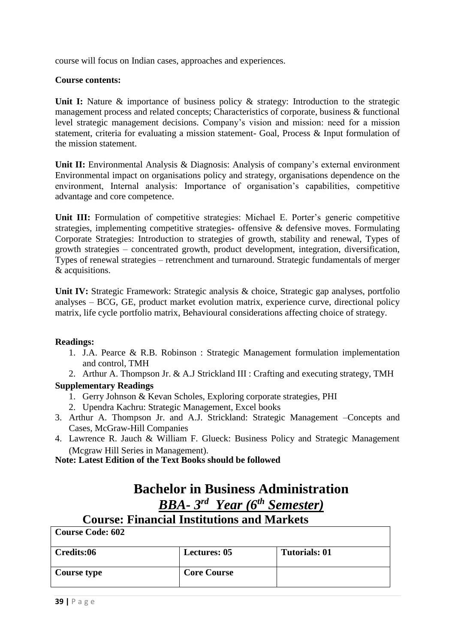course will focus on Indian cases, approaches and experiences.

#### **Course contents:**

Unit I: Nature & importance of business policy & strategy: Introduction to the strategic management process and related concepts; Characteristics of corporate, business & functional level strategic management decisions. Company's vision and mission: need for a mission statement, criteria for evaluating a mission statement- Goal, Process & Input formulation of the mission statement.

**Unit II:** Environmental Analysis & Diagnosis: Analysis of company's external environment Environmental impact on organisations policy and strategy, organisations dependence on the environment, Internal analysis: Importance of organisation's capabilities, competitive advantage and core competence.

**Unit III:** Formulation of competitive strategies: Michael E. Porter's generic competitive strategies, implementing competitive strategies- offensive & defensive moves. Formulating Corporate Strategies: Introduction to strategies of growth, stability and renewal, Types of growth strategies – concentrated growth, product development, integration, diversification, Types of renewal strategies – retrenchment and turnaround. Strategic fundamentals of merger & acquisitions.

**Unit IV:** Strategic Framework: Strategic analysis & choice, Strategic gap analyses, portfolio analyses – BCG, GE, product market evolution matrix, experience curve, directional policy matrix, life cycle portfolio matrix, Behavioural considerations affecting choice of strategy.

# **Readings:**

- 1. J.A. Pearce & R.B. Robinson : Strategic Management formulation implementation and control, TMH
- 2. Arthur A. Thompson Jr. & A.J Strickland III : Crafting and executing strategy, TMH

# **Supplementary Readings**

- 1. Gerry Johnson & Kevan Scholes, Exploring corporate strategies, PHI
- 2. Upendra Kachru: Strategic Management, Excel books
- 3. Arthur A. Thompson Jr. and A.J. Strickland: Strategic Management –Concepts and Cases, McGraw-Hill Companies
- 4. Lawrence R. Jauch & William F. Glueck: Business Policy and Strategic Management (Mcgraw Hill Series in Management).

**Note: Latest Edition of the Text Books should be followed**

# **Bachelor in Business Administration** *BBA- 3 rd Year (6 th Semester)*

# **Course: Financial Institutions and Markets Course Code: 602**

| Credits:06         | <b>Lectures: 05</b> | <b>Tutorials: 01</b> |
|--------------------|---------------------|----------------------|
|                    |                     |                      |
| <b>Course type</b> | <b>Core Course</b>  |                      |
|                    |                     |                      |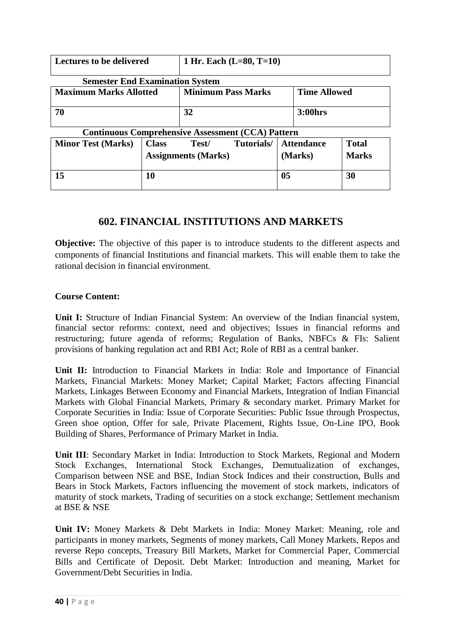| <b>Lectures to be delivered</b>                                                   |                            | 1 Hr. Each $(L=80, T=10)$ |  |         |                   |              |
|-----------------------------------------------------------------------------------|----------------------------|---------------------------|--|---------|-------------------|--------------|
| <b>Semester End Examination System</b>                                            |                            |                           |  |         |                   |              |
| <b>Minimum Pass Marks</b><br><b>Maximum Marks Allotted</b><br><b>Time Allowed</b> |                            |                           |  |         |                   |              |
| 70                                                                                |                            | 32                        |  |         | 3:00hrs           |              |
| <b>Continuous Comprehensive Assessment (CCA) Pattern</b>                          |                            |                           |  |         |                   |              |
| <b>Minor Test (Marks)</b>                                                         | <b>Class</b>               | Tutorials/<br>Test/       |  |         | <b>Attendance</b> | <b>Total</b> |
|                                                                                   | <b>Assignments (Marks)</b> |                           |  | (Marks) | <b>Marks</b>      |              |
| 15                                                                                | 10                         |                           |  | 05      |                   | 30           |

# **602. FINANCIAL INSTITUTIONS AND MARKETS**

**Objective:** The objective of this paper is to introduce students to the different aspects and components of financial Institutions and financial markets. This will enable them to take the rational decision in financial environment.

# **Course Content:**

**Unit I:** Structure of Indian Financial System: An overview of the Indian financial system, financial sector reforms: context, need and objectives; Issues in financial reforms and restructuring; future agenda of reforms; Regulation of Banks, NBFCs & FIs: Salient provisions of banking regulation act and RBI Act; Role of RBI as a central banker.

**Unit II:** Introduction to Financial Markets in India: Role and Importance of Financial Markets, Financial Markets: Money Market; Capital Market; Factors affecting Financial Markets, Linkages Between Economy and Financial Markets, Integration of Indian Financial Markets with Global Financial Markets, Primary & secondary market. Primary Market for Corporate Securities in India: Issue of Corporate Securities: Public Issue through Prospectus, Green shoe option, Offer for sale, Private Placement, Rights Issue, On-Line IPO, Book Building of Shares, Performance of Primary Market in India.

**Unit III**: Secondary Market in India: Introduction to Stock Markets, Regional and Modern Stock Exchanges, International Stock Exchanges, Demutualization of exchanges, Comparison between NSE and BSE, Indian Stock Indices and their construction, Bulls and Bears in Stock Markets, Factors influencing the movement of stock markets, indicators of maturity of stock markets, Trading of securities on a stock exchange; Settlement mechanism at BSE & NSE

**Unit IV:** Money Markets & Debt Markets in India: Money Market: Meaning, role and participants in money markets, Segments of money markets, Call Money Markets, Repos and reverse Repo concepts, Treasury Bill Markets, Market for Commercial Paper, Commercial Bills and Certificate of Deposit. Debt Market: Introduction and meaning, Market for Government/Debt Securities in India.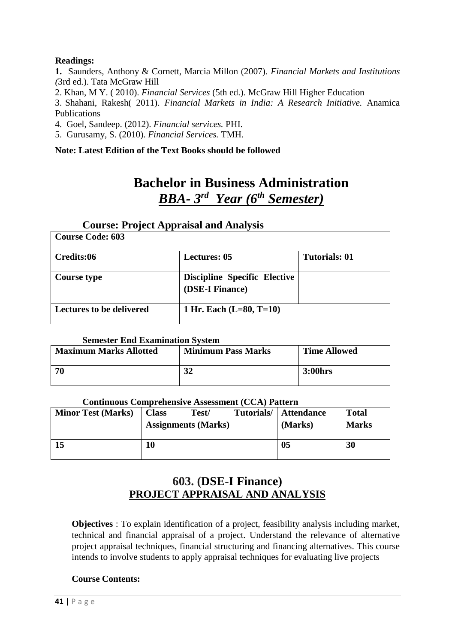# **Readings:**

**1.** Saunders, Anthony & Cornett, Marcia Millon (2007). *Financial Markets and Institutions (*3rd ed.). Tata McGraw Hill

2. Khan, M Y. ( 2010). *Financial Services* (5th ed.). McGraw Hill Higher Education

3. Shahani, Rakesh( 2011). *Financial Markets in India: A Research Initiative.* Anamica Publications

4. Goel, Sandeep. (2012). *Financial services.* PHI.

5. Gurusamy, S. (2010). *Financial Services.* TMH.

# **Note: Latest Edition of the Text Books should be followed**

# **Bachelor in Business Administration** *BBA- 3 rd Year (6 th Semester)*

# **Course: Project Appraisal and Analysis**

| <b>Course Code: 603</b>         |                                                        |                      |
|---------------------------------|--------------------------------------------------------|----------------------|
| Credits:06                      | <b>Lectures: 05</b>                                    | <b>Tutorials: 01</b> |
| <b>Course type</b>              | <b>Discipline Specific Elective</b><br>(DSE-I Finance) |                      |
| <b>Lectures to be delivered</b> | 1 Hr. Each $(L=80, T=10)$                              |                      |

#### **Semester End Examination System**

| <b>Maximum Marks Allotted</b> | <b>Minimum Pass Marks</b> | <b>Time Allowed</b> |  |
|-------------------------------|---------------------------|---------------------|--|
| 70                            | 21<br>JZ                  | <b>3:00hrs</b>      |  |

#### **Continuous Comprehensive Assessment (CCA) Pattern**

| <b>Minor Test (Marks)</b> | <b>Class</b> | Test/                      | Tutorials/ | <b>Attendance</b> | <b>Total</b> |
|---------------------------|--------------|----------------------------|------------|-------------------|--------------|
|                           |              | <b>Assignments (Marks)</b> |            | (Marks)           | <b>Marks</b> |
|                           |              |                            |            |                   |              |
| 15                        | 10           |                            |            | 05                | 30           |
|                           |              |                            |            |                   |              |

# **603. (DSE-I Finance) PROJECT APPRAISAL AND ANALYSIS**

**Objectives** : To explain identification of a project, feasibility analysis including market, technical and financial appraisal of a project. Understand the relevance of alternative project appraisal techniques, financial structuring and financing alternatives. This course intends to involve students to apply appraisal techniques for evaluating live projects

# **Course Contents:**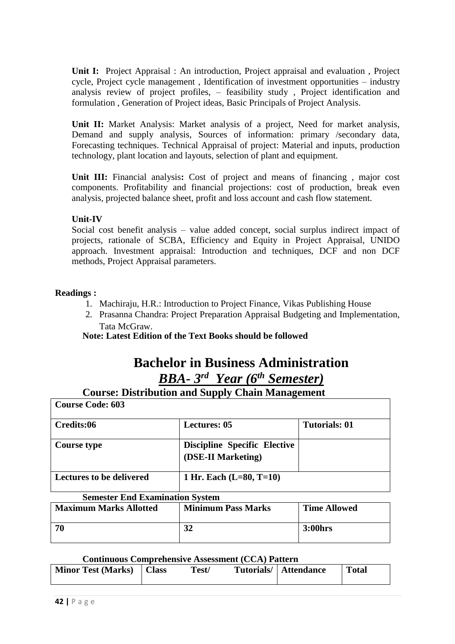**Unit I:** Project Appraisal : An introduction, Project appraisal and evaluation , Project cycle, Project cycle management , Identification of investment opportunities – industry analysis review of project profiles, – feasibility study , Project identification and formulation , Generation of Project ideas, Basic Principals of Project Analysis.

Unit II: Market Analysis: Market analysis of a project, Need for market analysis, Demand and supply analysis, Sources of information: primary /secondary data, Forecasting techniques. Technical Appraisal of project: Material and inputs, production technology, plant location and layouts, selection of plant and equipment.

Unit III: Financial analysis: Cost of project and means of financing, major cost components. Profitability and financial projections: cost of production, break even analysis, projected balance sheet, profit and loss account and cash flow statement.

# **Unit-IV**

Social cost benefit analysis – value added concept, social surplus indirect impact of projects, rationale of SCBA, Efficiency and Equity in Project Appraisal, UNIDO approach. Investment appraisal: Introduction and techniques, DCF and non DCF methods, Project Appraisal parameters.

# **Readings :**

- 1. Machiraju, H.R.: Introduction to Project Finance, Vikas Publishing House
- 2. Prasanna Chandra: Project Preparation Appraisal Budgeting and Implementation, Tata McGraw.

**Note: Latest Edition of the Text Books should be followed**

# **Bachelor in Business Administration** *BBA- 3 rd Year (6 th Semester)*

# **Course: Distribution and Supply Chain Management**

| <b>Course Code: 603</b>         |                                                           |                      |
|---------------------------------|-----------------------------------------------------------|----------------------|
| Credits:06                      | <b>Lectures: 05</b>                                       | <b>Tutorials: 01</b> |
| <b>Course type</b>              | <b>Discipline Specific Elective</b><br>(DSE-II Marketing) |                      |
| <b>Lectures to be delivered</b> | 1 Hr. Each $(L=80, T=10)$                                 |                      |

# **Semester End Examination System**

| <b>Maximum Marks Allotted</b> | <b>Minimum Pass Marks</b> | <b>Time Allowed</b> |
|-------------------------------|---------------------------|---------------------|
| -70                           |                           | <b>3:00hrs</b>      |

#### **Continuous Comprehensive Assessment (CCA) Pattern**

| <b>Minor Test (Marks)</b><br>Tutorials/   Attendance<br><b>Class</b><br>Test/ |  | <b>Total</b> |
|-------------------------------------------------------------------------------|--|--------------|
|-------------------------------------------------------------------------------|--|--------------|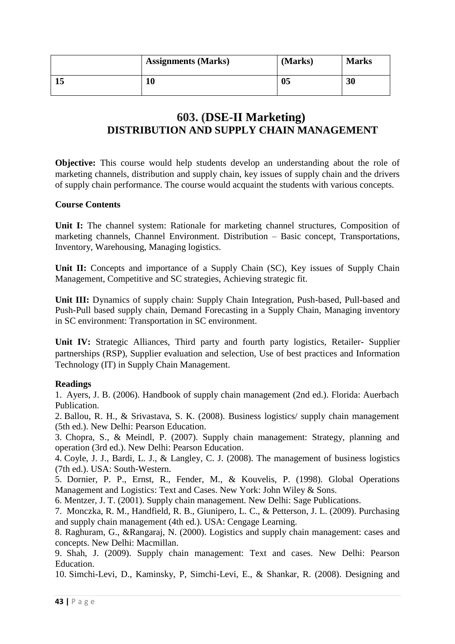|    | <b>Assignments (Marks)</b> | (Marks)        | <b>Marks</b> |
|----|----------------------------|----------------|--------------|
| ıυ | 10                         | 0 <sub>5</sub> | 30           |

# **603. (DSE-II Marketing) DISTRIBUTION AND SUPPLY CHAIN MANAGEMENT**

**Objective:** This course would help students develop an understanding about the role of marketing channels, distribution and supply chain, key issues of supply chain and the drivers of supply chain performance. The course would acquaint the students with various concepts.

#### **Course Contents**

Unit I: The channel system: Rationale for marketing channel structures, Composition of marketing channels, Channel Environment. Distribution – Basic concept, Transportations, Inventory, Warehousing, Managing logistics.

Unit II: Concepts and importance of a Supply Chain (SC), Key issues of Supply Chain Management, Competitive and SC strategies, Achieving strategic fit.

**Unit III:** Dynamics of supply chain: Supply Chain Integration, Push-based, Pull-based and Push-Pull based supply chain, Demand Forecasting in a Supply Chain, Managing inventory in SC environment: Transportation in SC environment.

**Unit IV:** Strategic Alliances, Third party and fourth party logistics, Retailer- Supplier partnerships (RSP), Supplier evaluation and selection, Use of best practices and Information Technology (IT) in Supply Chain Management.

# **Readings**

1. Ayers, J. B. (2006). Handbook of supply chain management (2nd ed.). Florida: Auerbach Publication.

2. Ballou, R. H., & Srivastava, S. K. (2008). Business logistics/ supply chain management (5th ed.). New Delhi: Pearson Education.

3. Chopra, S., & Meindl, P. (2007). Supply chain management: Strategy, planning and operation (3rd ed.). New Delhi: Pearson Education.

4. Coyle, J. J., Bardi, L. J., & Langley, C. J. (2008). The management of business logistics (7th ed.). USA: South-Western.

5. Dornier, P. P., Ernst, R., Fender, M., & Kouvelis, P. (1998). Global Operations Management and Logistics: Text and Cases. New York: John Wiley & Sons.

6. Mentzer, J. T. (2001). Supply chain management. New Delhi: Sage Publications.

7. Monczka, R. M., Handfield, R. B., Giunipero, L. C., & Petterson, J. L. (2009). Purchasing and supply chain management (4th ed.). USA: Cengage Learning.

8. Raghuram, G., &Rangaraj, N. (2000). Logistics and supply chain management: cases and concepts. New Delhi: Macmillan.

9. Shah, J. (2009). Supply chain management: Text and cases. New Delhi: Pearson Education.

10. Simchi-Levi, D., Kaminsky, P, Simchi-Levi, E., & Shankar, R. (2008). Designing and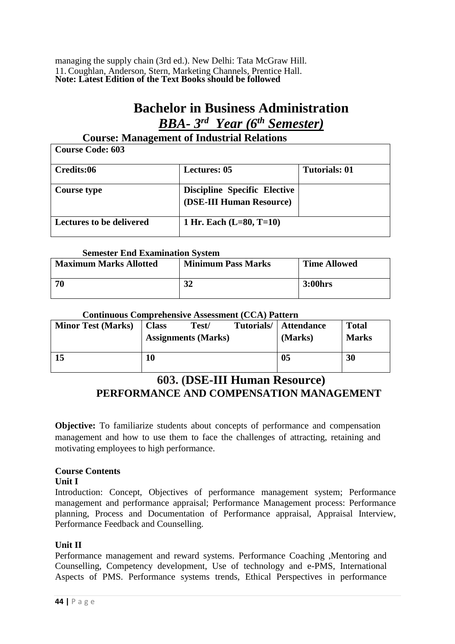managing the supply chain (3rd ed.). New Delhi: Tata McGraw Hill. 11. Coughlan, Anderson, Stern, Marketing Channels, Prentice Hall. **Note: Latest Edition of the Text Books should be followed**

# **Bachelor in Business Administration** *BBA- 3 rd Year (6 th Semester)*

# **Course: Management of Industrial Relations**

| <b>Course Code: 603</b>         |                                                                 |                      |
|---------------------------------|-----------------------------------------------------------------|----------------------|
| Credits:06                      | <b>Lectures: 05</b>                                             | <b>Tutorials: 01</b> |
| Course type                     | <b>Discipline Specific Elective</b><br>(DSE-III Human Resource) |                      |
| <b>Lectures to be delivered</b> | 1 Hr. Each $(L=80, T=10)$                                       |                      |

#### **Semester End Examination System**

| <b>Maximum Marks Allotted</b> | <b>Minimum Pass Marks</b> | <b>Time Allowed</b> |
|-------------------------------|---------------------------|---------------------|
| 70                            | 32                        | 3:00hrs             |

# **Continuous Comprehensive Assessment (CCA) Pattern**

| <b>Minor Test (Marks)</b> | <b>Class</b> | Test/<br><b>Assignments (Marks)</b> | Tutorials/ | <b>Attendance</b><br>(Marks) | <b>Total</b><br><b>Marks</b> |
|---------------------------|--------------|-------------------------------------|------------|------------------------------|------------------------------|
| 15                        | 10           |                                     |            | 0 <sub>5</sub>               | 30                           |

# **603. (DSE-III Human Resource) PERFORMANCE AND COMPENSATION MANAGEMENT**

**Objective:** To familiarize students about concepts of performance and compensation management and how to use them to face the challenges of attracting, retaining and motivating employees to high performance.

# **Course Contents**

**Unit I**

Introduction: Concept, Objectives of performance management system; Performance management and performance appraisal; Performance Management process: Performance planning, Process and Documentation of Performance appraisal, Appraisal Interview, Performance Feedback and Counselling.

# **Unit II**

Performance management and reward systems. Performance Coaching ,Mentoring and Counselling, Competency development, Use of technology and e-PMS, International Aspects of PMS. Performance systems trends, Ethical Perspectives in performance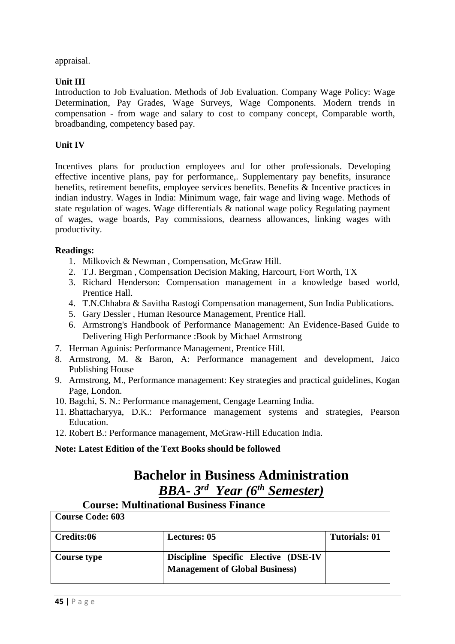appraisal.

# **Unit III**

Introduction to Job Evaluation. Methods of Job Evaluation. Company Wage Policy: Wage Determination, Pay Grades, Wage Surveys, Wage Components. Modern trends in compensation - from wage and salary to cost to company concept, Comparable worth, broadbanding, competency based pay.

# **Unit IV**

Incentives plans for production employees and for other professionals. Developing effective incentive plans, pay for performance,. Supplementary pay benefits, insurance benefits, retirement benefits, employee services benefits. Benefits & Incentive practices in indian industry. Wages in India: Minimum wage, fair wage and living wage. Methods of state regulation of wages. Wage differentials & national wage policy Regulating payment of wages, wage boards, Pay commissions, dearness allowances, linking wages with productivity.

# **Readings:**

- 1. Milkovich & Newman , Compensation, McGraw Hill.
- 2. T.J. Bergman , Compensation Decision Making, Harcourt, Fort Worth, TX
- 3. Richard Henderson: Compensation management in a knowledge based world, Prentice Hall.
- 4. T.N.Chhabra & Savitha Rastogi Compensation management, Sun India Publications.
- 5. Gary Dessler , Human Resource Management, Prentice Hall.
- 6. Armstrong's Handbook of Performance Management: An Evidence-Based Guide to Delivering High Performance :Book by Michael Armstrong
- 7. Herman Aguinis: Performance Management, Prentice Hill.
- 8. Armstrong, M. & Baron, A: Performance management and development, Jaico Publishing House
- 9. Armstrong, M., Performance management: Key strategies and practical guidelines, Kogan Page, London.
- 10. Bagchi, S. N.: Performance management, Cengage Learning India.
- 11. Bhattacharyya, D.K.: Performance management systems and strategies, Pearson Education.
- 12. Robert B.: Performance management, McGraw-Hill Education India.

# **Note: Latest Edition of the Text Books should be followed**

# **Bachelor in Business Administration** *BBA- 3 rd Year (6 th Semester)*

# **Course: Multinational Business Finance**

| <b>Course Code: 603</b> |                                                                               |                      |
|-------------------------|-------------------------------------------------------------------------------|----------------------|
| Credits:06              | <b>Lectures: 05</b>                                                           | <b>Tutorials: 01</b> |
| Course type             | Discipline Specific Elective (DSE-IV<br><b>Management of Global Business)</b> |                      |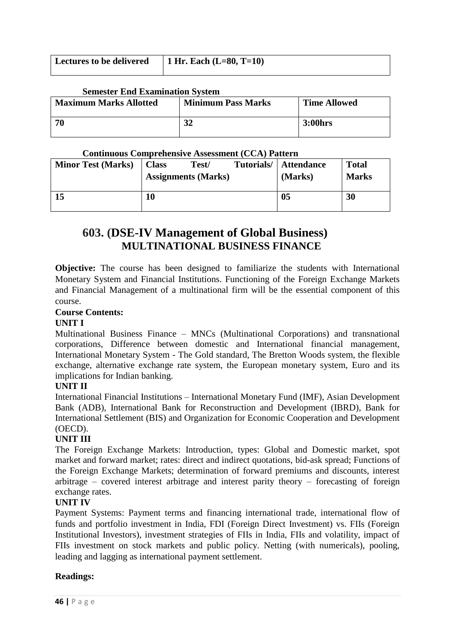| Lectures to be delivered $\vert$ 1 Hr. Each (L=80, T=10) |  |
|----------------------------------------------------------|--|
|                                                          |  |

#### **Semester End Examination System**

| <b>Maximum Marks Allotted</b> | <b>Minimum Pass Marks</b> | <b>Time Allowed</b> |
|-------------------------------|---------------------------|---------------------|
| -70                           | 21                        | <b>3:00hrs</b>      |

#### **Continuous Comprehensive Assessment (CCA) Pattern**

| <b>Minor Test (Marks)</b> | <b>Class</b> | Test/<br><b>Assignments (Marks)</b> | Tutorials/ | <b>Attendance</b><br>(Marks) | <b>Total</b><br><b>Marks</b> |
|---------------------------|--------------|-------------------------------------|------------|------------------------------|------------------------------|
| 15                        | 10           |                                     |            | 05                           | 30                           |

# **603. (DSE-IV Management of Global Business) MULTINATIONAL BUSINESS FINANCE**

**Objective:** The course has been designed to familiarize the students with International Monetary System and Financial Institutions. Functioning of the Foreign Exchange Markets and Financial Management of a multinational firm will be the essential component of this course.

# **Course Contents:**

#### **UNIT I**

Multinational Business Finance – MNCs (Multinational Corporations) and transnational corporations, Difference between domestic and International financial management, International Monetary System - The Gold standard, The Bretton Woods system, the flexible exchange, alternative exchange rate system, the European monetary system, Euro and its implications for Indian banking.

# **UNIT II**

International Financial Institutions – International Monetary Fund (IMF), Asian Development Bank (ADB), International Bank for Reconstruction and Development (IBRD), Bank for International Settlement (BIS) and Organization for Economic Cooperation and Development (OECD).

# **UNIT III**

The Foreign Exchange Markets: Introduction, types: Global and Domestic market, spot market and forward market; rates: direct and indirect quotations, bid-ask spread; Functions of the Foreign Exchange Markets; determination of forward premiums and discounts, interest arbitrage – covered interest arbitrage and interest parity theory – forecasting of foreign exchange rates.

#### **UNIT IV**

Payment Systems: Payment terms and financing international trade, international flow of funds and portfolio investment in India, FDI (Foreign Direct Investment) vs. FIIs (Foreign Institutional Investors), investment strategies of FIIs in India, FIIs and volatility, impact of FIIs investment on stock markets and public policy. Netting (with numericals), pooling, leading and lagging as international payment settlement.

# **Readings:**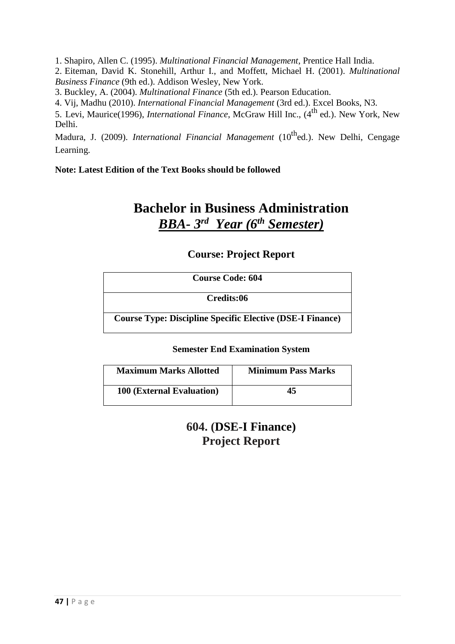1. Shapiro, Allen C. (1995). *Multinational Financial Management*, Prentice Hall India.

2. Eiteman, David K. Stonehill, Arthur I., and Moffett, Michael H. (2001). *Multinational Business Finance* (9th ed.). Addison Wesley, New York.

3. Buckley, A. (2004). *Multinational Finance* (5th ed.). Pearson Education.

4. Vij, Madhu (2010). *International Financial Management* (3rd ed.). Excel Books, N3.

5. Levi, Maurice(1996), *International Finance*, McGraw Hill Inc., (4th ed.). New York, New Delhi.

Madura, J. (2009). *International Financial Management* (10<sup>th</sup>ed.). New Delhi, Cengage Learning.

**Note: Latest Edition of the Text Books should be followed**

# **Bachelor in Business Administration** *BBA- 3 rd Year (6 th Semester)*

# **Course: Project Report**

| <b>Course Code: 604</b>                                          |  |  |
|------------------------------------------------------------------|--|--|
| Credits:06                                                       |  |  |
| <b>Course Type: Discipline Specific Elective (DSE-I Finance)</b> |  |  |

# **Semester End Examination System**

| <b>Maximum Marks Allotted</b>    | <b>Minimum Pass Marks</b> |
|----------------------------------|---------------------------|
| <b>100 (External Evaluation)</b> | 45                        |

**604. (DSE-I Finance) Project Report**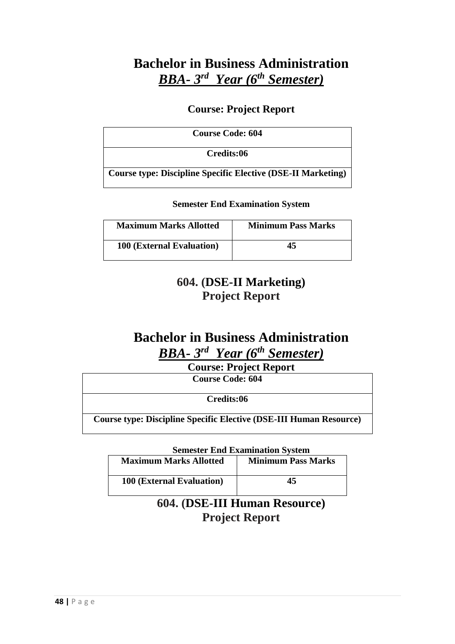# **Bachelor in Business Administration** *BBA- 3 rd Year (6 th Semester)*

# **Course: Project Report**

| <b>Course Code: 604</b>                                             |  |
|---------------------------------------------------------------------|--|
| Credits:06                                                          |  |
| <b>Course type: Discipline Specific Elective (DSE-II Marketing)</b> |  |

**Semester End Examination System**

| <b>Maximum Marks Allotted</b>    | <b>Minimum Pass Marks</b> |
|----------------------------------|---------------------------|
| <b>100 (External Evaluation)</b> | 45                        |

# **604. (DSE-II Marketing) Project Report**

# **Bachelor in Business Administration** *BBA- 3 rd Year (6 th Semester)*

**Course: Project Report**

**Course Code: 604**

**Credits:06**

**Course type: Discipline Specific Elective (DSE-III Human Resource)**

**Semester End Examination System**

| <b>Maximum Marks Allotted</b>    | <b>Minimum Pass Marks</b> |
|----------------------------------|---------------------------|
| <b>100 (External Evaluation)</b> | 45                        |

**604. (DSE-III Human Resource) Project Report**